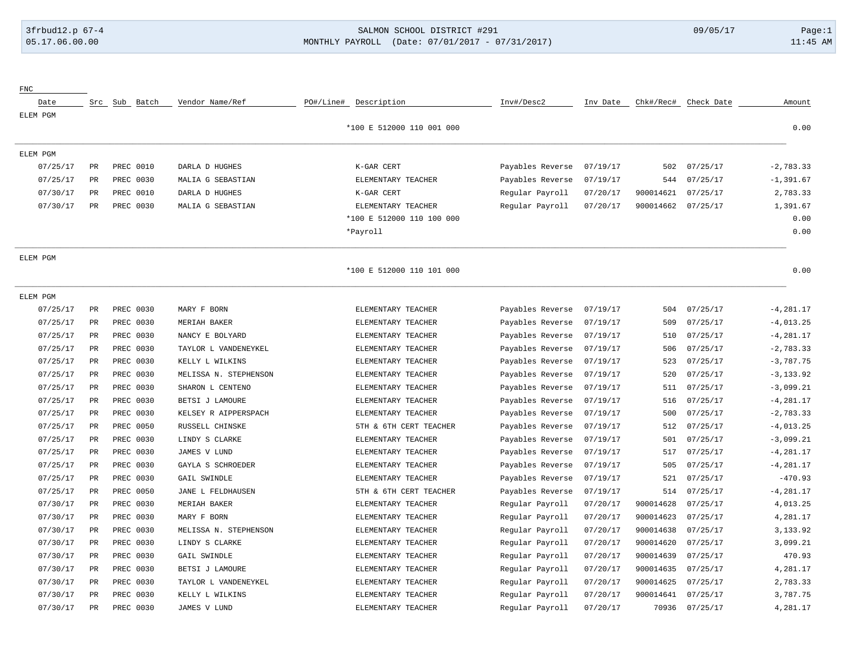## 3frbud12.p 67-4 SALMON SCHOOL DISTRICT #291 09/05/17 Page:1 [05.17.06.00.00](https://05.17.06.00.00) MONTHLY PAYROLL (Date: 07/01/2017 - 07/31/2017) 11:45 AM

| ${\rm FNC}$ |                 |               |                       |           |                           |                  |          |           |            |              |
|-------------|-----------------|---------------|-----------------------|-----------|---------------------------|------------------|----------|-----------|------------|--------------|
| Date        |                 | Src Sub Batch | Vendor Name/Ref       | PO#/Line# | Description               | Inv#/Desc2       | Inv Date | Chk#/Rec# | Check Date | Amount       |
| ELEM PGM    |                 |               |                       |           |                           |                  |          |           |            |              |
|             |                 |               |                       |           | *100 E 512000 110 001 000 |                  |          |           |            | 0.00         |
| ELEM PGM    |                 |               |                       |           |                           |                  |          |           |            |              |
| 07/25/17    | $\mbox{\sf PR}$ | PREC 0010     | DARLA D HUGHES        |           | K-GAR CERT                | Payables Reverse | 07/19/17 | 502       | 07/25/17   | $-2,783.33$  |
| 07/25/17    | PR              | PREC 0030     | MALIA G SEBASTIAN     |           | ELEMENTARY TEACHER        | Payables Reverse | 07/19/17 | 544       | 07/25/17   | $-1, 391.67$ |
| 07/30/17    | PR              | PREC 0010     | DARLA D HUGHES        |           | K-GAR CERT                | Regular Payroll  | 07/20/17 | 900014621 | 07/25/17   | 2,783.33     |
| 07/30/17    | PR              | PREC 0030     | MALIA G SEBASTIAN     |           | ELEMENTARY TEACHER        | Regular Payroll  | 07/20/17 | 900014662 | 07/25/17   | 1,391.67     |
|             |                 |               |                       |           | *100 E 512000 110 100 000 |                  |          |           |            | 0.00         |
|             |                 |               |                       |           | *Payroll                  |                  |          |           |            | 0.00         |
| ELEM PGM    |                 |               |                       |           |                           |                  |          |           |            |              |
|             |                 |               |                       |           | *100 E 512000 110 101 000 |                  |          |           |            | 0.00         |
| ELEM PGM    |                 |               |                       |           |                           |                  |          |           |            |              |
| 07/25/17    | PR              | PREC 0030     | MARY F BORN           |           | ELEMENTARY TEACHER        | Payables Reverse | 07/19/17 | 504       | 07/25/17   | $-4, 281.17$ |
| 07/25/17    | PR              | PREC 0030     | MERIAH BAKER          |           | ELEMENTARY TEACHER        | Payables Reverse | 07/19/17 | 509       | 07/25/17   | $-4,013.25$  |
| 07/25/17    | PR              | PREC 0030     | NANCY E BOLYARD       |           | ELEMENTARY TEACHER        | Payables Reverse | 07/19/17 | 510       | 07/25/17   | $-4, 281.17$ |
| 07/25/17    | PR              | PREC 0030     | TAYLOR L VANDENEYKEL  |           | ELEMENTARY TEACHER        | Payables Reverse | 07/19/17 | 506       | 07/25/17   | $-2,783.33$  |
| 07/25/17    | PR              | PREC 0030     | KELLY L WILKINS       |           | ELEMENTARY TEACHER        | Payables Reverse | 07/19/17 | 523       | 07/25/17   | $-3,787.75$  |
| 07/25/17    | PR              | PREC 0030     | MELISSA N. STEPHENSON |           | ELEMENTARY TEACHER        | Payables Reverse | 07/19/17 | 520       | 07/25/17   | $-3, 133.92$ |
| 07/25/17    | PR              | PREC 0030     | SHARON L CENTENO      |           | ELEMENTARY TEACHER        | Payables Reverse | 07/19/17 | 511       | 07/25/17   | $-3,099.21$  |
| 07/25/17    | <b>PR</b>       | PREC 0030     | BETSI J LAMOURE       |           | ELEMENTARY TEACHER        | Payables Reverse | 07/19/17 | 516       | 07/25/17   | $-4, 281.17$ |
| 07/25/17    | PR              | PREC 0030     | KELSEY R AIPPERSPACH  |           | ELEMENTARY TEACHER        | Payables Reverse | 07/19/17 | 500       | 07/25/17   | $-2,783.33$  |
| 07/25/17    | $\rm PR$        | PREC 0050     | RUSSELL CHINSKE       |           | 5TH & 6TH CERT TEACHER    | Payables Reverse | 07/19/17 | 512       | 07/25/17   | $-4,013.25$  |
| 07/25/17    | PR              | PREC 0030     | LINDY S CLARKE        |           | ELEMENTARY TEACHER        | Payables Reverse | 07/19/17 | 501       | 07/25/17   | $-3,099.21$  |
| 07/25/17    | PR              | PREC 0030     | JAMES V LUND          |           | ELEMENTARY TEACHER        | Payables Reverse | 07/19/17 | 517       | 07/25/17   | $-4, 281.17$ |
| 07/25/17    | PR              | PREC 0030     | GAYLA S SCHROEDER     |           | ELEMENTARY TEACHER        | Payables Reverse | 07/19/17 | 505       | 07/25/17   | $-4, 281.17$ |
| 07/25/17    | PR              | PREC 0030     | GAIL SWINDLE          |           | ELEMENTARY TEACHER        | Payables Reverse | 07/19/17 | 521       | 07/25/17   | $-470.93$    |
| 07/25/17    | PR              | PREC 0050     | JANE L FELDHAUSEN     |           | 5TH & 6TH CERT TEACHER    | Payables Reverse | 07/19/17 | 514       | 07/25/17   | $-4, 281.17$ |
| 07/30/17    | PR              | PREC 0030     | MERIAH BAKER          |           | ELEMENTARY TEACHER        | Regular Payroll  | 07/20/17 | 900014628 | 07/25/17   | 4,013.25     |
| 07/30/17    | PR              | PREC 0030     | MARY F BORN           |           | ELEMENTARY TEACHER        | Regular Payroll  | 07/20/17 | 900014623 | 07/25/17   | 4,281.17     |
| 07/30/17    | PR              | PREC 0030     | MELISSA N. STEPHENSON |           | ELEMENTARY TEACHER        | Regular Payroll  | 07/20/17 | 900014638 | 07/25/17   | 3,133.92     |
| 07/30/17    | $\mbox{\sf PR}$ | PREC 0030     | LINDY S CLARKE        |           | ELEMENTARY TEACHER        | Regular Payroll  | 07/20/17 | 900014620 | 07/25/17   | 3,099.21     |
| 07/30/17    | PR              | PREC 0030     | GAIL SWINDLE          |           | ELEMENTARY TEACHER        | Regular Payroll  | 07/20/17 | 900014639 | 07/25/17   | 470.93       |
| 07/30/17    | $\rm PR$        | PREC 0030     | BETSI J LAMOURE       |           | ELEMENTARY TEACHER        | Regular Payroll  | 07/20/17 | 900014635 | 07/25/17   | 4,281.17     |
| 07/30/17    | $_{\rm PR}$     | PREC 0030     | TAYLOR L VANDENEYKEL  |           | ELEMENTARY TEACHER        | Regular Payroll  | 07/20/17 | 900014625 | 07/25/17   | 2,783.33     |
| 07/30/17    | $_{\rm PR}$     | PREC 0030     | KELLY L WILKINS       |           | ELEMENTARY TEACHER        | Regular Payroll  | 07/20/17 | 900014641 | 07/25/17   | 3,787.75     |
| 07/30/17    | $_{\rm PR}$     | PREC 0030     | JAMES V LUND          |           | ELEMENTARY TEACHER        | Regular Payroll  | 07/20/17 | 70936     | 07/25/17   | 4,281.17     |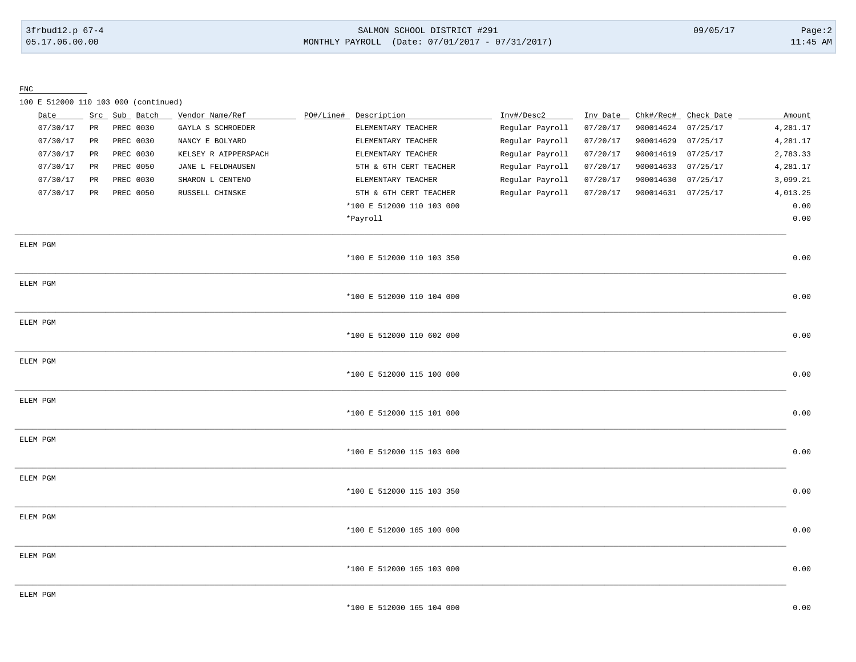### 3frbud12.p 67-4 SALMON SCHOOL DISTRICT #291 09/05/17 Page:2 [05.17.06.00.00](https://05.17.06.00.00) MONTHLY PAYROLL (Date: 07/01/2017 - 07/31/2017) 11:45 AM

FNC

100 E 512000 110 103 000 (continued)

| Date     |                 | Src Sub Batch | Vendor Name/Ref      | PO#/Line# | Description               | Inv#/Desc2      | Inv Date | Chk#/Rec#          | Check Date | Amount   |
|----------|-----------------|---------------|----------------------|-----------|---------------------------|-----------------|----------|--------------------|------------|----------|
| 07/30/17 | $\mbox{\sf PR}$ | PREC 0030     | GAYLA S SCHROEDER    |           | ELEMENTARY TEACHER        | Regular Payroll | 07/20/17 | 900014624          | 07/25/17   | 4,281.17 |
| 07/30/17 | PR              | PREC 0030     | NANCY E BOLYARD      |           | ELEMENTARY TEACHER        | Regular Payroll | 07/20/17 | 900014629          | 07/25/17   | 4,281.17 |
| 07/30/17 | PR              | PREC 0030     | KELSEY R AIPPERSPACH |           | ELEMENTARY TEACHER        | Regular Payroll | 07/20/17 | 900014619          | 07/25/17   | 2,783.33 |
| 07/30/17 | PR              | PREC 0050     | JANE L FELDHAUSEN    |           | 5TH & 6TH CERT TEACHER    | Regular Payroll | 07/20/17 | 900014633          | 07/25/17   | 4,281.17 |
| 07/30/17 | PR              | PREC 0030     | SHARON L CENTENO     |           | ELEMENTARY TEACHER        | Regular Payroll | 07/20/17 | 900014630          | 07/25/17   | 3,099.21 |
| 07/30/17 | PR              | PREC 0050     | RUSSELL CHINSKE      |           | 5TH & 6TH CERT TEACHER    | Regular Payroll | 07/20/17 | 900014631 07/25/17 |            | 4,013.25 |
|          |                 |               |                      |           | *100 E 512000 110 103 000 |                 |          |                    |            | 0.00     |
|          |                 |               |                      |           | *Payroll                  |                 |          |                    |            | 0.00     |
| ELEM PGM |                 |               |                      |           |                           |                 |          |                    |            |          |
|          |                 |               |                      |           | *100 E 512000 110 103 350 |                 |          |                    |            | 0.00     |
| ELEM PGM |                 |               |                      |           |                           |                 |          |                    |            |          |
|          |                 |               |                      |           | *100 E 512000 110 104 000 |                 |          |                    |            | 0.00     |
| ELEM PGM |                 |               |                      |           |                           |                 |          |                    |            |          |
|          |                 |               |                      |           | *100 E 512000 110 602 000 |                 |          |                    |            | 0.00     |
| ELEM PGM |                 |               |                      |           | *100 E 512000 115 100 000 |                 |          |                    |            | 0.00     |
|          |                 |               |                      |           |                           |                 |          |                    |            |          |
| ELEM PGM |                 |               |                      |           | *100 E 512000 115 101 000 |                 |          |                    |            | 0.00     |
|          |                 |               |                      |           |                           |                 |          |                    |            |          |
| ELEM PGM |                 |               |                      |           | *100 E 512000 115 103 000 |                 |          |                    |            | 0.00     |
|          |                 |               |                      |           |                           |                 |          |                    |            |          |
| ELEM PGM |                 |               |                      |           | *100 E 512000 115 103 350 |                 |          |                    |            | 0.00     |
|          |                 |               |                      |           |                           |                 |          |                    |            |          |
| ELEM PGM |                 |               |                      |           | *100 E 512000 165 100 000 |                 |          |                    |            | 0.00     |
|          |                 |               |                      |           |                           |                 |          |                    |            |          |
| ELEM PGM |                 |               |                      |           | *100 E 512000 165 103 000 |                 |          |                    |            | 0.00     |
|          |                 |               |                      |           |                           |                 |          |                    |            |          |
| ELEM PGM |                 |               |                      |           | *100 E 512000 165 104 000 |                 |          |                    |            | 0.00     |
|          |                 |               |                      |           |                           |                 |          |                    |            |          |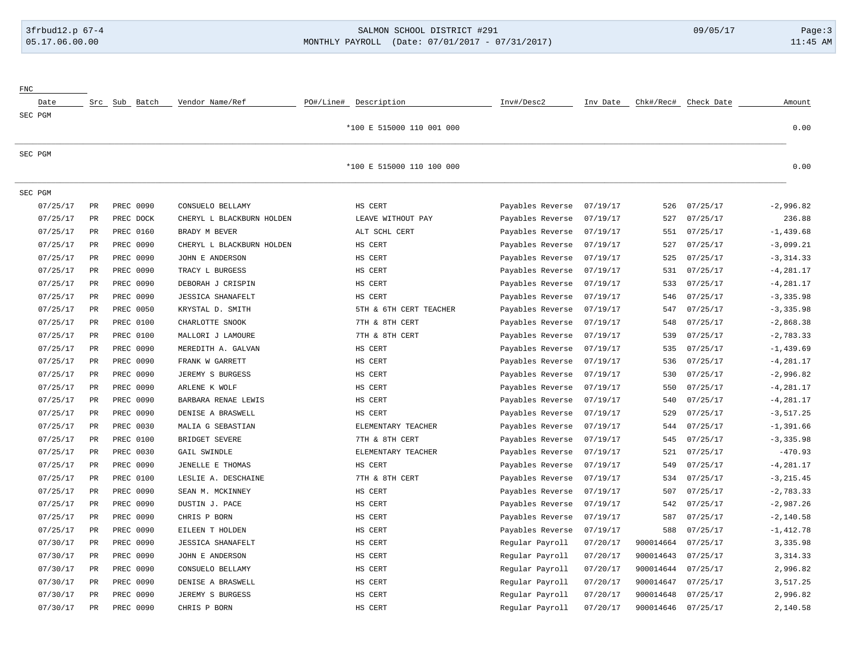## 3frbud12.p 67-4 SALMON SCHOOL DISTRICT #291 09/05/17 Page:3 [05.17.06.00.00](https://05.17.06.00.00) MONTHLY PAYROLL (Date: 07/01/2017 - 07/31/2017) 11:45 AM

| ${\rm FNC}$ |          |                 |           |                  |                           |           |                           |                  |          |           |            |              |
|-------------|----------|-----------------|-----------|------------------|---------------------------|-----------|---------------------------|------------------|----------|-----------|------------|--------------|
|             | Date     |                 |           | Src Sub Batch    | Vendor Name/Ref           | PO#/Line# | Description               | Inv#/Desc2       | Inv Date | Chk#/Rec# | Check Date | Amount       |
| SEC PGM     |          |                 |           |                  |                           |           |                           |                  |          |           |            |              |
|             |          |                 |           |                  |                           |           | *100 E 515000 110 001 000 |                  |          |           |            | 0.00         |
| SEC PGM     |          |                 |           |                  |                           |           |                           |                  |          |           |            |              |
|             |          |                 |           |                  |                           |           | *100 E 515000 110 100 000 |                  |          |           |            | 0.00         |
| SEC PGM     |          |                 |           |                  |                           |           |                           |                  |          |           |            |              |
|             | 07/25/17 | $\mbox{\sf PR}$ | PREC 0090 |                  | CONSUELO BELLAMY          |           | HS CERT                   | Payables Reverse | 07/19/17 | 526       | 07/25/17   | $-2.996.82$  |
|             | 07/25/17 | $_{\rm PR}$     | PREC DOCK |                  | CHERYL L BLACKBURN HOLDEN |           | LEAVE WITHOUT PAY         | Payables Reverse | 07/19/17 | 527       | 07/25/17   | 236.88       |
|             | 07/25/17 | PR              |           | PREC 0160        | BRADY M BEVER             |           | ALT SCHL CERT             | Payables Reverse | 07/19/17 | 551       | 07/25/17   | $-1,439.68$  |
|             | 07/25/17 | PR              | PREC 0090 |                  | CHERYL L BLACKBURN HOLDEN |           | HS CERT                   | Payables Reverse | 07/19/17 | 527       | 07/25/17   | $-3,099.21$  |
|             | 07/25/17 | PR              | PREC 0090 |                  | JOHN E ANDERSON           |           | HS CERT                   | Payables Reverse | 07/19/17 | 525       | 07/25/17   | $-3, 314.33$ |
|             | 07/25/17 | PR              |           | PREC 0090        | TRACY L BURGESS           |           | HS CERT                   | Payables Reverse | 07/19/17 | 531       | 07/25/17   | $-4, 281.17$ |
|             | 07/25/17 | $\mbox{\sf PR}$ |           | PREC 0090        | DEBORAH J CRISPIN         |           | HS CERT                   | Payables Reverse | 07/19/17 | 533       | 07/25/17   | $-4, 281.17$ |
|             | 07/25/17 | $_{\rm PR}$     | PREC 0090 |                  | <b>JESSICA SHANAFELT</b>  |           | HS CERT                   | Payables Reverse | 07/19/17 | 546       | 07/25/17   | $-3, 335.98$ |
|             | 07/25/17 | PR              |           | PREC 0050        | KRYSTAL D. SMITH          |           | 5TH & 6TH CERT TEACHER    | Payables Reverse | 07/19/17 | 547       | 07/25/17   | $-3, 335.98$ |
|             | 07/25/17 | PR              |           | PREC 0100        | CHARLOTTE SNOOK           |           | 7TH & 8TH CERT            | Payables Reverse | 07/19/17 | 548       | 07/25/17   | $-2,868.38$  |
|             | 07/25/17 | PR              | PREC 0100 |                  | MALLORI J LAMOURE         |           | 7TH & 8TH CERT            | Payables Reverse | 07/19/17 | 539       | 07/25/17   | $-2,783.33$  |
|             | 07/25/17 | PR              |           | PREC 0090        | MEREDITH A. GALVAN        |           | HS CERT                   | Payables Reverse | 07/19/17 | 535       | 07/25/17   | $-1, 439.69$ |
|             | 07/25/17 | $_{\rm PR}$     | PREC 0090 |                  | FRANK W GARRETT           |           | HS CERT                   | Payables Reverse | 07/19/17 | 536       | 07/25/17   | $-4, 281.17$ |
|             | 07/25/17 | PR              | PREC 0090 |                  | JEREMY S BURGESS          |           | HS CERT                   | Payables Reverse | 07/19/17 | 530       | 07/25/17   | $-2,996.82$  |
|             | 07/25/17 | PR              |           | PREC 0090        | ARLENE K WOLF             |           | HS CERT                   | Payables Reverse | 07/19/17 | 550       | 07/25/17   | $-4, 281.17$ |
|             | 07/25/17 | PR              | PREC 0090 |                  | BARBARA RENAE LEWIS       |           | HS CERT                   | Payables Reverse | 07/19/17 | 540       | 07/25/17   | $-4, 281.17$ |
|             | 07/25/17 | PR              | PREC 0090 |                  | DENISE A BRASWELL         |           | HS CERT                   | Payables Reverse | 07/19/17 | 529       | 07/25/17   | $-3, 517.25$ |
|             | 07/25/17 | $_{\rm PR}$     |           | PREC 0030        | MALIA G SEBASTIAN         |           | ELEMENTARY TEACHER        | Payables Reverse | 07/19/17 | 544       | 07/25/17   | $-1, 391.66$ |
|             | 07/25/17 | $_{\rm PR}$     |           | <b>PREC 0100</b> | BRIDGET SEVERE            |           | 7TH & 8TH CERT            | Payables Reverse | 07/19/17 | 545       | 07/25/17   | $-3, 335.98$ |
|             | 07/25/17 | PR              | PREC 0030 |                  | GAIL SWINDLE              |           | ELEMENTARY TEACHER        | Payables Reverse | 07/19/17 | 521       | 07/25/17   | $-470.93$    |
|             | 07/25/17 | PR              |           | PREC 0090        | JENELLE E THOMAS          |           | HS CERT                   | Payables Reverse | 07/19/17 | 549       | 07/25/17   | $-4, 281.17$ |
|             | 07/25/17 | PR              |           | <b>PREC 0100</b> | LESLIE A. DESCHAINE       |           | 7TH & 8TH CERT            | Payables Reverse | 07/19/17 | 534       | 07/25/17   | $-3, 215.45$ |
|             | 07/25/17 | PR              | PREC 0090 |                  | SEAN M. MCKINNEY          |           | HS CERT                   | Payables Reverse | 07/19/17 | 507       | 07/25/17   | $-2,783.33$  |
|             | 07/25/17 | PR              | PREC 0090 |                  | DUSTIN J. PACE            |           | HS CERT                   | Payables Reverse | 07/19/17 | 542       | 07/25/17   | $-2,987.26$  |
|             | 07/25/17 | PR              |           | PREC 0090        | CHRIS P BORN              |           | HS CERT                   | Payables Reverse | 07/19/17 | 587       | 07/25/17   | $-2, 140.58$ |
|             | 07/25/17 | PR              | PREC 0090 |                  | EILEEN T HOLDEN           |           | HS CERT                   | Payables Reverse | 07/19/17 | 588       | 07/25/17   | $-1,412.78$  |
|             | 07/30/17 | PR              | PREC 0090 |                  | <b>JESSICA SHANAFELT</b>  |           | HS CERT                   | Regular Payroll  | 07/20/17 | 900014664 | 07/25/17   | 3,335.98     |
|             | 07/30/17 | PR              |           | PREC 0090        | JOHN E ANDERSON           |           | HS CERT                   | Regular Payroll  | 07/20/17 | 900014643 | 07/25/17   | 3, 314.33    |
|             | 07/30/17 | $_{\rm PR}$     | PREC 0090 |                  | CONSUELO BELLAMY          |           | HS CERT                   | Regular Payroll  | 07/20/17 | 900014644 | 07/25/17   | 2,996.82     |
|             | 07/30/17 | PR              |           | PREC 0090        | DENISE A BRASWELL         |           | HS CERT                   | Regular Payroll  | 07/20/17 | 900014647 | 07/25/17   | 3,517.25     |
|             | 07/30/17 | PR              |           | PREC 0090        | JEREMY S BURGESS          |           | HS CERT                   | Regular Payroll  | 07/20/17 | 900014648 | 07/25/17   | 2,996.82     |
|             | 07/30/17 | PR              |           | PREC 0090        | CHRIS P BORN              |           | HS CERT                   | Regular Payroll  | 07/20/17 | 900014646 | 07/25/17   | 2,140.58     |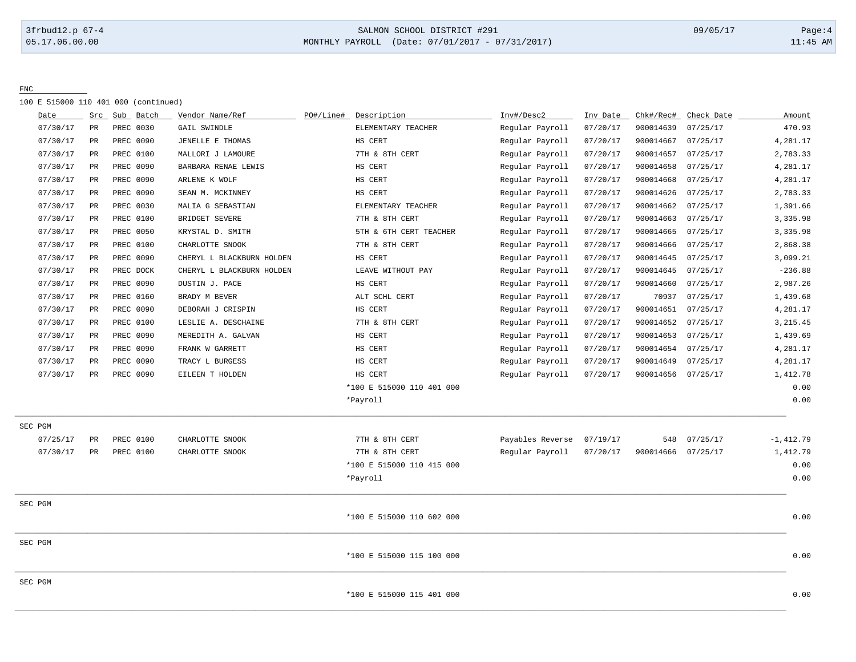## 3frbud12.p 67-4 SALMON SCHOOL DISTRICT #291 09/05/17 Page:4 [05.17.06.00.00](https://05.17.06.00.00) MONTHLY PAYROLL (Date: 07/01/2017 - 07/31/2017) 11:45 AM

FNC

100 E 515000 110 401 000 (continued)

| Date     | Src | Sub       | Batch | Vendor Name/Ref           | PO#/Line# | Description               | Inv#/Desc2       | Inv Date | Chk#/Rec# | Check Date | Amount       |
|----------|-----|-----------|-------|---------------------------|-----------|---------------------------|------------------|----------|-----------|------------|--------------|
| 07/30/17 | PR  | PREC 0030 |       | GAIL SWINDLE              |           | ELEMENTARY TEACHER        | Regular Payroll  | 07/20/17 | 900014639 | 07/25/17   | 470.93       |
| 07/30/17 | PR  | PREC 0090 |       | JENELLE E THOMAS          |           | HS CERT                   | Regular Payroll  | 07/20/17 | 900014667 | 07/25/17   | 4,281.17     |
| 07/30/17 | PR  | PREC 0100 |       | MALLORI J LAMOURE         |           | 7TH & 8TH CERT            | Regular Payroll  | 07/20/17 | 900014657 | 07/25/17   | 2,783.33     |
| 07/30/17 | PR  | PREC 0090 |       | BARBARA RENAE LEWIS       |           | HS CERT                   | Regular Payroll  | 07/20/17 | 900014658 | 07/25/17   | 4,281.17     |
| 07/30/17 | PR  | PREC 0090 |       | ARLENE K WOLF             |           | HS CERT                   | Regular Payroll  | 07/20/17 | 900014668 | 07/25/17   | 4,281.17     |
| 07/30/17 | PR  | PREC 0090 |       | SEAN M. MCKINNEY          |           | HS CERT                   | Regular Payroll  | 07/20/17 | 900014626 | 07/25/17   | 2,783.33     |
| 07/30/17 | PR  | PREC 0030 |       | MALIA G SEBASTIAN         |           | ELEMENTARY TEACHER        | Regular Payroll  | 07/20/17 | 900014662 | 07/25/17   | 1,391.66     |
| 07/30/17 | PR  | PREC 0100 |       | BRIDGET SEVERE            |           | 7TH & 8TH CERT            | Regular Payroll  | 07/20/17 | 900014663 | 07/25/17   | 3,335.98     |
| 07/30/17 | PR  | PREC 0050 |       | KRYSTAL D. SMITH          |           | 5TH & 6TH CERT TEACHER    | Regular Payroll  | 07/20/17 | 900014665 | 07/25/17   | 3,335.98     |
| 07/30/17 | PR  | PREC 0100 |       | CHARLOTTE SNOOK           |           | 7TH & 8TH CERT            | Regular Payroll  | 07/20/17 | 900014666 | 07/25/17   | 2,868.38     |
| 07/30/17 | PR  | PREC 0090 |       | CHERYL L BLACKBURN HOLDEN |           | HS CERT                   | Regular Payroll  | 07/20/17 | 900014645 | 07/25/17   | 3,099.21     |
| 07/30/17 | PR  | PREC DOCK |       | CHERYL L BLACKBURN HOLDEN |           | LEAVE WITHOUT PAY         | Regular Payroll  | 07/20/17 | 900014645 | 07/25/17   | $-236.88$    |
| 07/30/17 | PR  | PREC 0090 |       | DUSTIN J. PACE            |           | HS CERT                   | Regular Payroll  | 07/20/17 | 900014660 | 07/25/17   | 2,987.26     |
| 07/30/17 | PR  | PREC 0160 |       | BRADY M BEVER             |           | ALT SCHL CERT             | Regular Payroll  | 07/20/17 | 70937     | 07/25/17   | 1,439.68     |
| 07/30/17 | PR  | PREC 0090 |       | DEBORAH J CRISPIN         |           | HS CERT                   | Regular Payroll  | 07/20/17 | 900014651 | 07/25/17   | 4,281.17     |
| 07/30/17 | PR  | PREC 0100 |       | LESLIE A. DESCHAINE       |           | 7TH & 8TH CERT            | Regular Payroll  | 07/20/17 | 900014652 | 07/25/17   | 3, 215.45    |
| 07/30/17 | PR  | PREC 0090 |       | MEREDITH A. GALVAN        |           | HS CERT                   | Regular Payroll  | 07/20/17 | 900014653 | 07/25/17   | 1,439.69     |
| 07/30/17 | PR  | PREC 0090 |       | FRANK W GARRETT           |           | HS CERT                   | Regular Payroll  | 07/20/17 | 900014654 | 07/25/17   | 4,281.17     |
| 07/30/17 | PR  | PREC 0090 |       | TRACY L BURGESS           |           | HS CERT                   | Regular Payroll  | 07/20/17 | 900014649 | 07/25/17   | 4,281.17     |
| 07/30/17 | PR  | PREC 0090 |       | EILEEN T HOLDEN           |           | HS CERT                   | Regular Payroll  | 07/20/17 | 900014656 | 07/25/17   | 1,412.78     |
|          |     |           |       |                           |           | *100 E 515000 110 401 000 |                  |          |           |            | 0.00         |
|          |     |           |       |                           |           | *Payroll                  |                  |          |           |            | 0.00         |
| SEC PGM  |     |           |       |                           |           |                           |                  |          |           |            |              |
| 07/25/17 | PR  | PREC 0100 |       | CHARLOTTE SNOOK           |           | 7TH & 8TH CERT            | Payables Reverse | 07/19/17 | 548       | 07/25/17   | $-1, 412.79$ |
| 07/30/17 | PR  | PREC 0100 |       | CHARLOTTE SNOOK           |           | 7TH & 8TH CERT            | Regular Payroll  | 07/20/17 | 900014666 | 07/25/17   | 1,412.79     |
|          |     |           |       |                           |           | *100 E 515000 110 415 000 |                  |          |           |            | 0.00         |
|          |     |           |       |                           |           | *Payroll                  |                  |          |           |            | 0.00         |
| SEC PGM  |     |           |       |                           |           |                           |                  |          |           |            |              |
|          |     |           |       |                           |           | *100 E 515000 110 602 000 |                  |          |           |            | 0.00         |
| SEC PGM  |     |           |       |                           |           |                           |                  |          |           |            |              |
|          |     |           |       |                           |           | *100 E 515000 115 100 000 |                  |          |           |            | 0.00         |
| SEC PGM  |     |           |       |                           |           |                           |                  |          |           |            |              |
|          |     |           |       |                           |           | *100 E 515000 115 401 000 |                  |          |           |            | 0.00         |
|          |     |           |       |                           |           |                           |                  |          |           |            |              |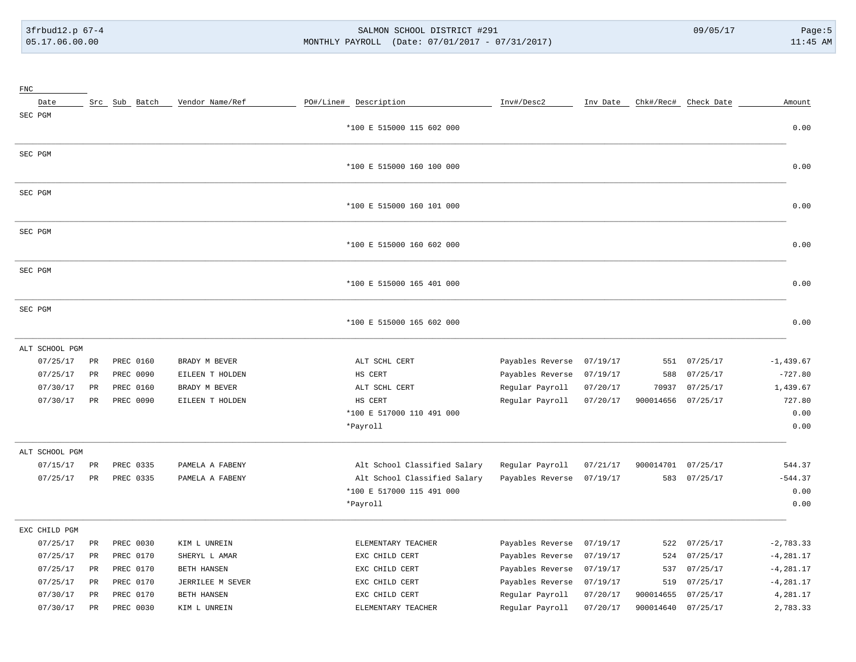# 3frbud12.p 67-4 SALMON SCHOOL DISTRICT #291 09/05/17 Page:5 [05.17.06.00.00](https://05.17.06.00.00) MONTHLY PAYROLL (Date: 07/01/2017 - 07/31/2017) 11:45 AM

| ${\rm FNC}$    |             |               |                  |                              |                  |          |           |                      |              |
|----------------|-------------|---------------|------------------|------------------------------|------------------|----------|-----------|----------------------|--------------|
| Date           |             | Src Sub Batch | Vendor Name/Ref  | PO#/Line# Description        | Inv#/Desc2       | Inv Date |           | Chk#/Rec# Check Date | Amount       |
| SEC PGM        |             |               |                  | *100 E 515000 115 602 000    |                  |          |           |                      | 0.00         |
| SEC PGM        |             |               |                  | *100 E 515000 160 100 000    |                  |          |           |                      | 0.00         |
| SEC PGM        |             |               |                  | *100 E 515000 160 101 000    |                  |          |           |                      | 0.00         |
| SEC PGM        |             |               |                  | *100 E 515000 160 602 000    |                  |          |           |                      | 0.00         |
| SEC PGM        |             |               |                  | *100 E 515000 165 401 000    |                  |          |           |                      | 0.00         |
| SEC PGM        |             |               |                  | *100 E 515000 165 602 000    |                  |          |           |                      | 0.00         |
| ALT SCHOOL PGM |             |               |                  |                              |                  |          |           |                      |              |
| 07/25/17       | $_{\rm PR}$ | PREC 0160     | BRADY M BEVER    | ALT SCHL CERT                | Payables Reverse | 07/19/17 | 551       | 07/25/17             | $-1, 439.67$ |
| 07/25/17       | PR          | PREC 0090     | EILEEN T HOLDEN  | HS CERT                      | Payables Reverse | 07/19/17 | 588       | 07/25/17             | $-727.80$    |
| 07/30/17       | $_{\rm PR}$ | PREC 0160     | BRADY M BEVER    | ALT SCHL CERT                | Regular Payroll  | 07/20/17 | 70937     | 07/25/17             | 1,439.67     |
| 07/30/17       | $_{\rm PR}$ | PREC 0090     | EILEEN T HOLDEN  | HS CERT                      | Regular Payroll  | 07/20/17 | 900014656 | 07/25/17             | 727.80       |
|                |             |               |                  | *100 E 517000 110 491 000    |                  |          |           |                      | 0.00         |
|                |             |               |                  | *Payroll                     |                  |          |           |                      | 0.00         |
| ALT SCHOOL PGM |             |               |                  |                              |                  |          |           |                      |              |
| 07/15/17       | PR          | PREC 0335     | PAMELA A FABENY  | Alt School Classified Salary | Regular Payroll  | 07/21/17 | 900014701 | 07/25/17             | 544.37       |
| 07/25/17       | $_{\rm PR}$ | PREC 0335     | PAMELA A FABENY  | Alt School Classified Salary | Payables Reverse | 07/19/17 | 583       | 07/25/17             | $-544.37$    |
|                |             |               |                  | *100 E 517000 115 491 000    |                  |          |           |                      | 0.00         |
|                |             |               |                  | *Payroll                     |                  |          |           |                      | 0.00         |
| EXC CHILD PGM  |             |               |                  |                              |                  |          |           |                      |              |
| 07/25/17       | $_{\rm PR}$ | PREC 0030     | KIM L UNREIN     | ELEMENTARY TEACHER           | Payables Reverse | 07/19/17 | 522       | 07/25/17             | $-2,783.33$  |
| 07/25/17       | $_{\rm PR}$ | PREC 0170     | SHERYL L AMAR    | EXC CHILD CERT               | Payables Reverse | 07/19/17 | 524       | 07/25/17             | $-4, 281.17$ |
| 07/25/17       | $_{\rm PR}$ | PREC 0170     | BETH HANSEN      | EXC CHILD CERT               | Payables Reverse | 07/19/17 | 537       | 07/25/17             | $-4, 281.17$ |
| 07/25/17       | $_{\rm PR}$ | PREC 0170     | JERRILEE M SEVER | EXC CHILD CERT               | Payables Reverse | 07/19/17 | 519       | 07/25/17             | $-4, 281.17$ |
| 07/30/17       | PR          | PREC 0170     | BETH HANSEN      | EXC CHILD CERT               | Regular Payroll  | 07/20/17 | 900014655 | 07/25/17             | 4,281.17     |
| 07/30/17       | $_{\rm PR}$ | PREC 0030     | KIM L UNREIN     | ELEMENTARY TEACHER           | Regular Payroll  | 07/20/17 | 900014640 | 07/25/17             | 2,783.33     |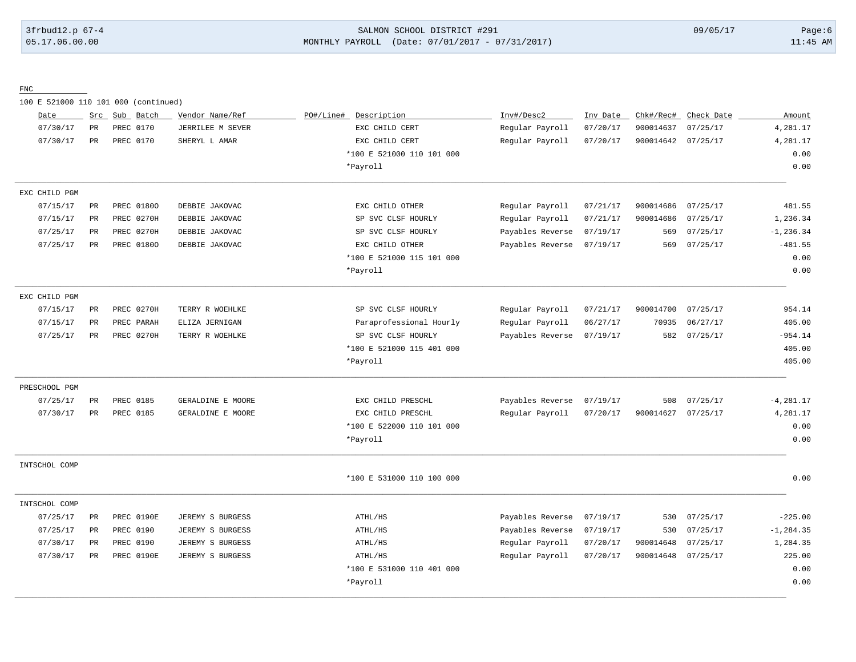## 3frbud12.p 67-4 SALMON SCHOOL DISTRICT #291 09/05/17 Page:6 [05.17.06.00.00](https://05.17.06.00.00) MONTHLY PAYROLL (Date: 07/01/2017 - 07/31/2017) 11:45 AM

FNC

100 E 521000 110 101 000 (continued)

| Amount       | Check Date | Chk#/Rec# | Inv Date | Inv#/Desc2       | PO#/Line#<br>Description  | Vendor Name/Ref   | Sub Batch  | Src           | Date          |
|--------------|------------|-----------|----------|------------------|---------------------------|-------------------|------------|---------------|---------------|
| 4,281.17     | 07/25/17   | 900014637 | 07/20/17 | Regular Payroll  | EXC CHILD CERT            | JERRILEE M SEVER  | PREC 0170  | PR            | 07/30/17      |
| 4,281.17     | 07/25/17   | 900014642 | 07/20/17 | Regular Payroll  | EXC CHILD CERT            | SHERYL L AMAR     | PREC 0170  | $\mathtt{PR}$ | 07/30/17      |
| 0.00         |            |           |          |                  | *100 E 521000 110 101 000 |                   |            |               |               |
| 0.00         |            |           |          |                  | *Payroll                  |                   |            |               |               |
|              |            |           |          |                  |                           |                   |            |               | EXC CHILD PGM |
| 481.55       | 07/25/17   | 900014686 | 07/21/17 | Regular Payroll  | EXC CHILD OTHER           | DEBBIE JAKOVAC    | PREC 01800 | PR            | 07/15/17      |
| 1,236.34     | 07/25/17   | 900014686 | 07/21/17 | Regular Payroll  | SP SVC CLSF HOURLY        | DEBBIE JAKOVAC    | PREC 0270H | PR            | 07/15/17      |
| $-1, 236.34$ | 07/25/17   | 569       | 07/19/17 | Payables Reverse | SP SVC CLSF HOURLY        | DEBBIE JAKOVAC    | PREC 0270H | <b>PR</b>     | 07/25/17      |
| $-481.55$    | 07/25/17   | 569       | 07/19/17 | Payables Reverse | EXC CHILD OTHER           | DEBBIE JAKOVAC    | PREC 01800 | PR            | 07/25/17      |
| 0.00         |            |           |          |                  | *100 E 521000 115 101 000 |                   |            |               |               |
| 0.00         |            |           |          |                  | *Payroll                  |                   |            |               |               |
|              |            |           |          |                  |                           |                   |            |               | EXC CHILD PGM |
| 954.14       | 07/25/17   | 900014700 | 07/21/17 | Regular Payroll  | SP SVC CLSF HOURLY        | TERRY R WOEHLKE   | PREC 0270H | PR            | 07/15/17      |
| 405.00       | 06/27/17   | 70935     | 06/27/17 | Regular Payroll  | Paraprofessional Hourly   | ELIZA JERNIGAN    | PREC PARAH | PR            | 07/15/17      |
| $-954.14$    | 07/25/17   | 582       | 07/19/17 | Payables Reverse | SP SVC CLSF HOURLY        | TERRY R WOEHLKE   | PREC 0270H | $\rm PR$      | 07/25/17      |
| 405.00       |            |           |          |                  | *100 E 521000 115 401 000 |                   |            |               |               |
| 405.00       |            |           |          |                  | *Payroll                  |                   |            |               |               |
|              |            |           |          |                  |                           |                   |            |               | PRESCHOOL PGM |
| $-4, 281.17$ | 07/25/17   | 508       | 07/19/17 | Payables Reverse | EXC CHILD PRESCHL         | GERALDINE E MOORE | PREC 0185  | $\mathtt{PR}$ | 07/25/17      |
| 4,281.17     | 07/25/17   | 900014627 | 07/20/17 | Regular Payroll  | EXC CHILD PRESCHL         | GERALDINE E MOORE | PREC 0185  | PR            | 07/30/17      |
| 0.00         |            |           |          |                  | *100 E 522000 110 101 000 |                   |            |               |               |
| 0.00         |            |           |          |                  | *Payroll                  |                   |            |               |               |
|              |            |           |          |                  |                           |                   |            |               | INTSCHOL COMP |
| 0.00         |            |           |          |                  | *100 E 531000 110 100 000 |                   |            |               |               |
|              |            |           |          |                  |                           |                   |            |               | INTSCHOL COMP |
| $-225.00$    | 07/25/17   | 530       | 07/19/17 | Payables Reverse | ATHL/HS                   | JEREMY S BURGESS  | PREC 0190E | $_{\rm PR}$   | 07/25/17      |
| $-1, 284.35$ | 07/25/17   | 530       | 07/19/17 | Payables Reverse | ATHL/HS                   | JEREMY S BURGESS  | PREC 0190  | <b>PR</b>     | 07/25/17      |
| 1,284.35     | 07/25/17   | 900014648 | 07/20/17 | Regular Payroll  | ATHL/HS                   | JEREMY S BURGESS  | PREC 0190  | PR            | 07/30/17      |
| 225.00       | 07/25/17   | 900014648 | 07/20/17 | Regular Payroll  | ATHL/HS                   | JEREMY S BURGESS  | PREC 0190E | PR            | 07/30/17      |
| 0.00         |            |           |          |                  | *100 E 531000 110 401 000 |                   |            |               |               |
|              |            |           |          |                  |                           |                   |            |               |               |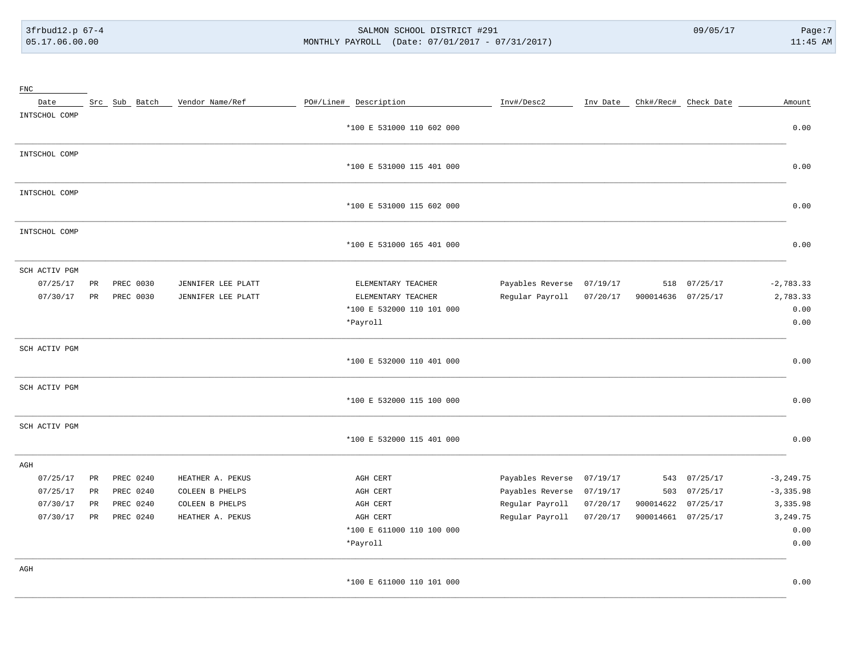# 3frbud12.p 67-4 SALMON SCHOOL DISTRICT #291 09/05/17 Page:7 [05.17.06.00.00](https://05.17.06.00.00) MONTHLY PAYROLL (Date: 07/01/2017 - 07/31/2017) 11:45 AM

| $_{\rm FNC}$  |             |               |                    |                             |                  |          |                    |                      |              |
|---------------|-------------|---------------|--------------------|-----------------------------|------------------|----------|--------------------|----------------------|--------------|
| Date          |             | Src Sub Batch | Vendor Name/Ref    | PO#/Line# Description       | Inv#/Desc2       | Inv Date |                    | Chk#/Rec# Check Date | Amount       |
| INTSCHOL COMP |             |               |                    |                             |                  |          |                    |                      |              |
|               |             |               |                    | *100 E 531000 110 602 000   |                  |          |                    |                      | 0.00         |
| INTSCHOL COMP |             |               |                    |                             |                  |          |                    |                      |              |
|               |             |               |                    | *100 E 531000 115 401 000   |                  |          |                    |                      | 0.00         |
| INTSCHOL COMP |             |               |                    |                             |                  |          |                    |                      |              |
|               |             |               |                    | *100 E 531000 115 602 000   |                  |          |                    |                      | 0.00         |
| INTSCHOL COMP |             |               |                    |                             |                  |          |                    |                      |              |
|               |             |               |                    | *100 E 531000 165 401 000   |                  |          |                    |                      | 0.00         |
| SCH ACTIV PGM |             |               |                    |                             |                  |          |                    |                      |              |
| 07/25/17      | $_{\rm PR}$ | PREC 0030     | JENNIFER LEE PLATT | ELEMENTARY TEACHER          | Payables Reverse | 07/19/17 | 518                | 07/25/17             | $-2,783.33$  |
| 07/30/17      | PR          | PREC 0030     | JENNIFER LEE PLATT | ELEMENTARY TEACHER          | Regular Payroll  | 07/20/17 | 900014636          | 07/25/17             | 2,783.33     |
|               |             |               |                    | *100 E 532000 110 101 000   |                  |          |                    |                      | 0.00         |
|               |             |               |                    | *Payroll                    |                  |          |                    |                      | 0.00         |
| SCH ACTIV PGM |             |               |                    |                             |                  |          |                    |                      |              |
|               |             |               |                    | *100 E 532000 110 401 000   |                  |          |                    |                      | 0.00         |
| SCH ACTIV PGM |             |               |                    |                             |                  |          |                    |                      |              |
|               |             |               |                    | *100 E 532000 115 100 000   |                  |          |                    |                      | 0.00         |
| SCH ACTIV PGM |             |               |                    |                             |                  |          |                    |                      |              |
|               |             |               |                    | *100 E 532000 115 401 000   |                  |          |                    |                      | 0.00         |
| AGH           |             |               |                    |                             |                  |          |                    |                      |              |
| 07/25/17      | PR          | PREC 0240     | HEATHER A. PEKUS   | AGH CERT                    | Payables Reverse | 07/19/17 | 543                | 07/25/17             | $-3, 249.75$ |
| 07/25/17      | PR          | PREC 0240     | COLEEN B PHELPS    | AGH CERT                    | Payables Reverse | 07/19/17 | 503                | 07/25/17             | $-3, 335.98$ |
| 07/30/17      | PR          | PREC 0240     | COLEEN B PHELPS    | AGH CERT                    | Regular Payroll  | 07/20/17 | 900014622          | 07/25/17             | 3,335.98     |
| 07/30/17      | PR          | PREC 0240     | HEATHER A. PEKUS   | AGH CERT                    | Regular Payroll  | 07/20/17 | 900014661 07/25/17 |                      | 3, 249.75    |
|               |             |               |                    | *100 E 611000 110 100 000   |                  |          |                    |                      | 0.00         |
|               |             |               |                    | *Payroll                    |                  |          |                    |                      | 0.00         |
| AGH           |             |               |                    |                             |                  |          |                    |                      |              |
|               |             |               |                    | $*100$ R 611000 110 101 000 |                  |          |                    |                      | 0.00         |

\_\_\_\_\_\_\_\_\_\_\_\_\_\_\_\_\_\_\_\_\_\_\_\_\_\_\_\_\_\_\_\_\_\_\_\_\_\_\_\_\_\_\_\_\_\_\_\_\_\_\_\_\_\_\_\_\_\_\_\_\_\_\_\_\_\_\_\_\_\_\_\_\_\_\_\_\_\_\_\_\_\_\_\_\_\_\_\_\_\_\_\_\_\_\_\_\_\_\_\_\_\_\_\_\_\_\_\_\_\_\_\_\_\_\_\_\_\_\_\_\_\_\_\_\_\_\_\_\_\_\_\_\_\_\_\_\_\_\_\_\_\_\_\_\_\_\_\_\_\_\_\_\_\_\_\_\_\_\_\_\_\_\_\_\_\_\_\_\_\_ 00 E 611000 110 101 000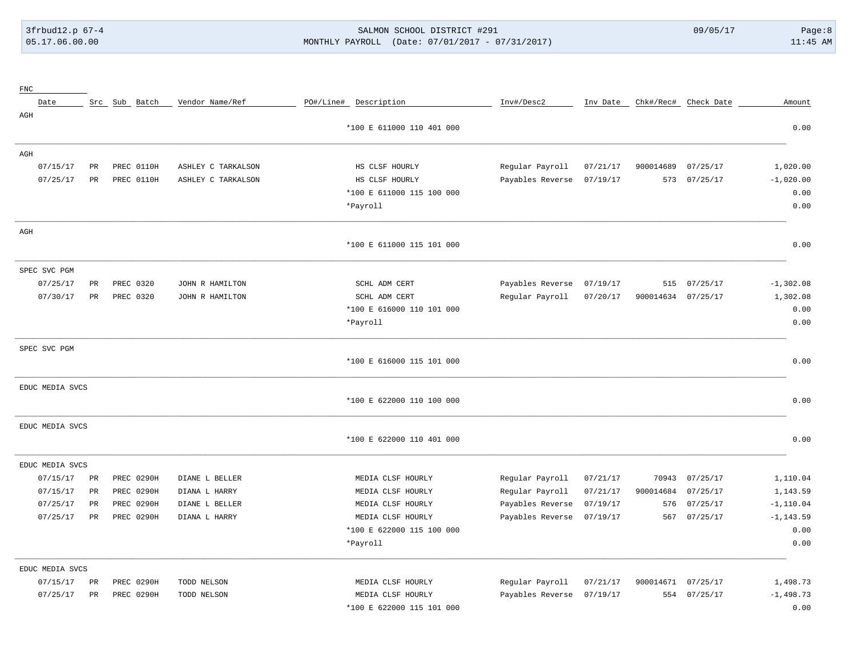## 3frbud12.p 67-4 SALMON SCHOOL DISTRICT #291 09/05/17 Page:8 [05.17.06.00.00](https://05.17.06.00.00) MONTHLY PAYROLL (Date: 07/01/2017 - 07/31/2017) 11:45 AM

| ${\rm FNC}$     |                 |                   |                    |                       |                           |                  |          |           |                      |              |
|-----------------|-----------------|-------------------|--------------------|-----------------------|---------------------------|------------------|----------|-----------|----------------------|--------------|
| Date            |                 | Src Sub Batch     | Vendor Name/Ref    | PO#/Line# Description |                           | Inv#/Desc2       | Inv Date |           | Chk#/Rec# Check Date | Amount       |
| AGH             |                 |                   |                    |                       |                           |                  |          |           |                      |              |
|                 |                 |                   |                    |                       | *100 E 611000 110 401 000 |                  |          |           |                      | 0.00         |
| AGH             |                 |                   |                    |                       |                           |                  |          |           |                      |              |
| 07/15/17        | PR              | PREC 0110H        | ASHLEY C TARKALSON |                       | HS CLSF HOURLY            | Regular Payroll  | 07/21/17 | 900014689 | 07/25/17             | 1,020.00     |
| 07/25/17        | $\mbox{\sf PR}$ | PREC 0110H        | ASHLEY C TARKALSON |                       | HS CLSF HOURLY            | Payables Reverse | 07/19/17 | 573       | 07/25/17             | $-1,020.00$  |
|                 |                 |                   |                    |                       | *100 E 611000 115 100 000 |                  |          |           |                      | 0.00         |
|                 |                 |                   |                    |                       | *Payroll                  |                  |          |           |                      | 0.00         |
| AGH             |                 |                   |                    |                       |                           |                  |          |           |                      |              |
|                 |                 |                   |                    |                       | *100 E 611000 115 101 000 |                  |          |           |                      | 0.00         |
| SPEC SVC PGM    |                 |                   |                    |                       |                           |                  |          |           |                      |              |
| 07/25/17        | $_{\rm PR}$     | PREC 0320         | JOHN R HAMILTON    |                       | SCHL ADM CERT             | Payables Reverse | 07/19/17 | 515       | 07/25/17             | $-1, 302.08$ |
| 07/30/17        | PR              | PREC 0320         | JOHN R HAMILTON    |                       | SCHL ADM CERT             | Regular Payroll  | 07/20/17 | 900014634 | 07/25/17             | 1,302.08     |
|                 |                 |                   |                    |                       | *100 E 616000 110 101 000 |                  |          |           |                      | 0.00         |
|                 |                 |                   |                    |                       | *Payroll                  |                  |          |           |                      | 0.00         |
| SPEC SVC PGM    |                 |                   |                    |                       |                           |                  |          |           |                      |              |
|                 |                 |                   |                    |                       | *100 E 616000 115 101 000 |                  |          |           |                      | 0.00         |
| EDUC MEDIA SVCS |                 |                   |                    |                       |                           |                  |          |           |                      |              |
|                 |                 |                   |                    |                       | *100 E 622000 110 100 000 |                  |          |           |                      | 0.00         |
| EDUC MEDIA SVCS |                 |                   |                    |                       |                           |                  |          |           |                      |              |
|                 |                 |                   |                    |                       | *100 E 622000 110 401 000 |                  |          |           |                      | 0.00         |
| EDUC MEDIA SVCS |                 |                   |                    |                       |                           |                  |          |           |                      |              |
| 07/15/17        | PR              | PREC 0290H        | DIANE L BELLER     |                       | MEDIA CLSF HOURLY         | Regular Payroll  | 07/21/17 | 70943     | 07/25/17             | 1,110.04     |
| 07/15/17        | PR              | PREC 0290H        | DIANA L HARRY      |                       | MEDIA CLSF HOURLY         | Regular Payroll  | 07/21/17 | 900014684 | 07/25/17             | 1,143.59     |
| 07/25/17        | $_{\rm PR}$     | PREC 0290H        | DIANE L BELLER     |                       | MEDIA CLSF HOURLY         | Payables Reverse | 07/19/17 | 576       | 07/25/17             | $-1,110.04$  |
| 07/25/17        | $_{\rm PR}$     | <b>PREC 0290H</b> | DIANA L HARRY      |                       | MEDIA CLSF HOURLY         | Payables Reverse | 07/19/17 | 567       | 07/25/17             | $-1, 143.59$ |
|                 |                 |                   |                    |                       | *100 E 622000 115 100 000 |                  |          |           |                      | 0.00         |
|                 |                 |                   |                    |                       | *Payroll                  |                  |          |           |                      | 0.00         |
| EDUC MEDIA SVCS |                 |                   |                    |                       |                           |                  |          |           |                      |              |
| 07/15/17        | PR              | PREC 0290H        | TODD NELSON        |                       | MEDIA CLSF HOURLY         | Regular Payroll  | 07/21/17 | 900014671 | 07/25/17             | 1,498.73     |
| 07/25/17        | PR              | PREC 0290H        | TODD NELSON        |                       | MEDIA CLSF HOURLY         | Payables Reverse | 07/19/17 |           | 554 07/25/17         | $-1,498.73$  |
|                 |                 |                   |                    |                       | *100 E 622000 115 101 000 |                  |          |           |                      | 0.00         |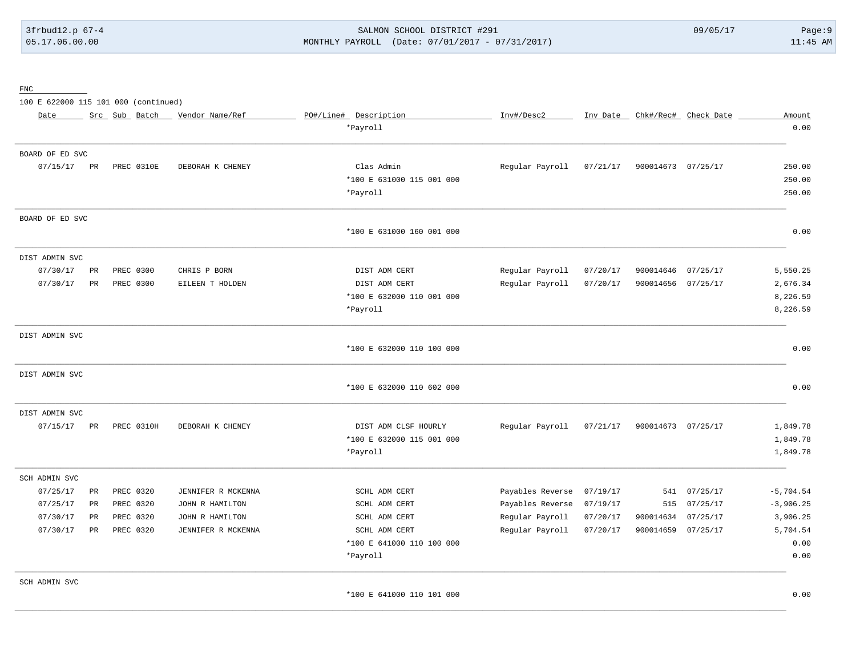# 3frbud12.p 67-4 SALMON SCHOOL DISTRICT #291 09/05/17 Page:9 [05.17.06.00.00](https://05.17.06.00.00) MONTHLY PAYROLL (Date: 07/01/2017 - 07/31/2017) 11:45 AM

FNC

100 E 622000 115 101 000 (continued)

| Date            |             | Src Sub Batch | Vendor Name/Ref    | PO#/Line# Description     | Inv#/Desc2       | Inv Date | Chk#/Rec#          | Check Date | Amount      |
|-----------------|-------------|---------------|--------------------|---------------------------|------------------|----------|--------------------|------------|-------------|
|                 |             |               |                    | *Payroll                  |                  |          |                    |            | 0.00        |
| BOARD OF ED SVC |             |               |                    |                           |                  |          |                    |            |             |
| 07/15/17        | PR          | PREC 0310E    | DEBORAH K CHENEY   | Clas Admin                | Regular Payroll  | 07/21/17 | 900014673 07/25/17 |            | 250.00      |
|                 |             |               |                    | *100 E 631000 115 001 000 |                  |          |                    |            | 250.00      |
|                 |             |               |                    | *Payroll                  |                  |          |                    |            | 250.00      |
| BOARD OF ED SVC |             |               |                    |                           |                  |          |                    |            |             |
|                 |             |               |                    | *100 E 631000 160 001 000 |                  |          |                    |            | 0.00        |
| DIST ADMIN SVC  |             |               |                    |                           |                  |          |                    |            |             |
| 07/30/17        | PR          | PREC 0300     | CHRIS P BORN       | DIST ADM CERT             | Regular Payroll  | 07/20/17 | 900014646          | 07/25/17   | 5,550.25    |
| 07/30/17        | PR          | PREC 0300     | EILEEN T HOLDEN    | DIST ADM CERT             | Regular Payroll  | 07/20/17 | 900014656 07/25/17 |            | 2,676.34    |
|                 |             |               |                    | *100 E 632000 110 001 000 |                  |          |                    |            | 8,226.59    |
|                 |             |               |                    | *Payroll                  |                  |          |                    |            | 8,226.59    |
| DIST ADMIN SVC  |             |               |                    |                           |                  |          |                    |            |             |
|                 |             |               |                    | *100 E 632000 110 100 000 |                  |          |                    |            | 0.00        |
| DIST ADMIN SVC  |             |               |                    |                           |                  |          |                    |            |             |
|                 |             |               |                    | *100 E 632000 110 602 000 |                  |          |                    |            | 0.00        |
| DIST ADMIN SVC  |             |               |                    |                           |                  |          |                    |            |             |
| 07/15/17        | PR          | PREC 0310H    | DEBORAH K CHENEY   | DIST ADM CLSF HOURLY      | Regular Payroll  | 07/21/17 | 900014673 07/25/17 |            | 1,849.78    |
|                 |             |               |                    | *100 E 632000 115 001 000 |                  |          |                    |            | 1,849.78    |
|                 |             |               |                    | *Payroll                  |                  |          |                    |            | 1,849.78    |
| SCH ADMIN SVC   |             |               |                    |                           |                  |          |                    |            |             |
| 07/25/17        | $_{\rm PR}$ | PREC 0320     | JENNIFER R MCKENNA | SCHL ADM CERT             | Payables Reverse | 07/19/17 | 541                | 07/25/17   | $-5,704.54$ |
| 07/25/17        | PR          | PREC 0320     | JOHN R HAMILTON    | SCHL ADM CERT             | Payables Reverse | 07/19/17 | 515                | 07/25/17   | $-3,906.25$ |
| 07/30/17        | PR          | PREC 0320     | JOHN R HAMILTON    | SCHL ADM CERT             | Regular Payroll  | 07/20/17 | 900014634          | 07/25/17   | 3,906.25    |
| 07/30/17        | PR          | PREC 0320     | JENNIFER R MCKENNA | SCHL ADM CERT             | Regular Payroll  | 07/20/17 | 900014659 07/25/17 |            | 5,704.54    |
|                 |             |               |                    | *100 E 641000 110 100 000 |                  |          |                    |            | 0.00        |
|                 |             |               |                    | *Payroll                  |                  |          |                    |            | 0.00        |
| SCH ADMIN SVC   |             |               |                    |                           |                  |          |                    |            |             |
|                 |             |               |                    | *100 E 641000 110 101 000 |                  |          |                    |            | 0.00        |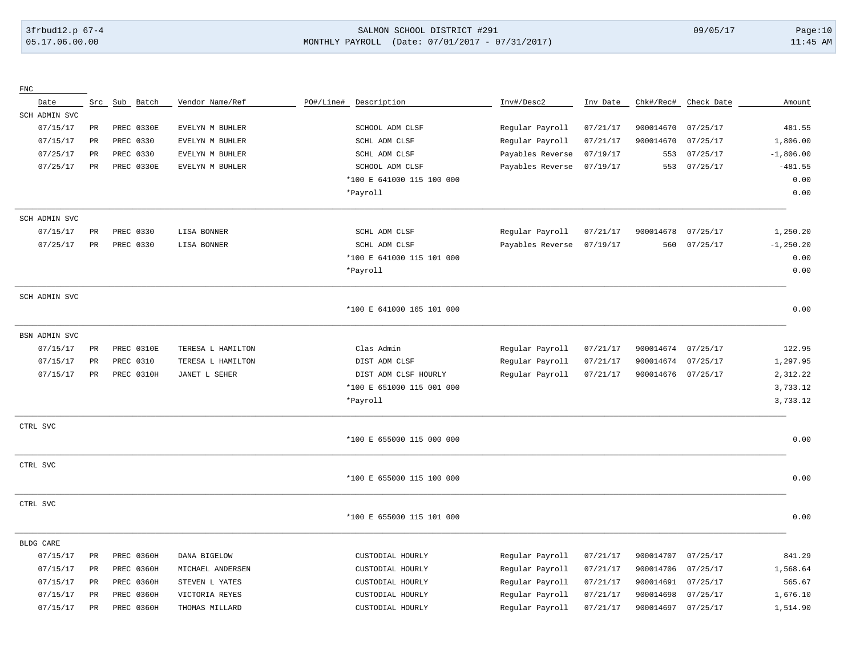## 3frbud12.p 67-4 SALMON SCHOOL DISTRICT #291 09/05/17 Page:10 [05.17.06.00.00](https://05.17.06.00.00) MONTHLY PAYROLL (Date: 07/01/2017 - 07/31/2017) 11:45 AM

| ${\rm FNC}$   |                 |            |                   |           |                           |                  |          |           |            |              |
|---------------|-----------------|------------|-------------------|-----------|---------------------------|------------------|----------|-----------|------------|--------------|
| Date          | Src             | Sub Batch  | Vendor Name/Ref   | PO#/Line# | Description               | Inv#/Desc2       | Inv Date | Chk#/Rec# | Check Date | Amount       |
| SCH ADMIN SVC |                 |            |                   |           |                           |                  |          |           |            |              |
| 07/15/17      | PR              | PREC 0330E | EVELYN M BUHLER   |           | SCHOOL ADM CLSF           | Regular Payroll  | 07/21/17 | 900014670 | 07/25/17   | 481.55       |
| 07/15/17      | $\mbox{\sf PR}$ | PREC 0330  | EVELYN M BUHLER   |           | SCHL ADM CLSF             | Regular Payroll  | 07/21/17 | 900014670 | 07/25/17   | 1,806.00     |
| 07/25/17      | $_{\rm PR}$     | PREC 0330  | EVELYN M BUHLER   |           | SCHL ADM CLSF             | Payables Reverse | 07/19/17 | 553       | 07/25/17   | $-1,806.00$  |
| 07/25/17      | $_{\rm PR}$     | PREC 0330E | EVELYN M BUHLER   |           | SCHOOL ADM CLSF           | Payables Reverse | 07/19/17 | 553       | 07/25/17   | $-481.55$    |
|               |                 |            |                   |           | *100 E 641000 115 100 000 |                  |          |           |            | 0.00         |
|               |                 |            |                   |           | *Payroll                  |                  |          |           |            | 0.00         |
| SCH ADMIN SVC |                 |            |                   |           |                           |                  |          |           |            |              |
| 07/15/17      | PR              | PREC 0330  | LISA BONNER       |           | SCHL ADM CLSF             | Regular Payroll  | 07/21/17 | 900014678 | 07/25/17   | 1,250.20     |
| 07/25/17      | $_{\rm PR}$     | PREC 0330  | LISA BONNER       |           | SCHL ADM CLSF             | Payables Reverse | 07/19/17 | 560       | 07/25/17   | $-1, 250.20$ |
|               |                 |            |                   |           | *100 E 641000 115 101 000 |                  |          |           |            | 0.00         |
|               |                 |            |                   |           | *Payroll                  |                  |          |           |            | 0.00         |
| SCH ADMIN SVC |                 |            |                   |           |                           |                  |          |           |            |              |
|               |                 |            |                   |           | *100 E 641000 165 101 000 |                  |          |           |            | 0.00         |
| BSN ADMIN SVC |                 |            |                   |           |                           |                  |          |           |            |              |
| 07/15/17      | $_{\rm PR}$     | PREC 0310E | TERESA L HAMILTON |           | Clas Admin                | Regular Payroll  | 07/21/17 | 900014674 | 07/25/17   | 122.95       |
| 07/15/17      | $\mbox{\sf PR}$ | PREC 0310  | TERESA L HAMILTON |           | DIST ADM CLSF             | Regular Payroll  | 07/21/17 | 900014674 | 07/25/17   | 1,297.95     |
| 07/15/17      | PR              | PREC 0310H | JANET L SEHER     |           | DIST ADM CLSF HOURLY      | Regular Payroll  | 07/21/17 | 900014676 | 07/25/17   | 2,312.22     |
|               |                 |            |                   |           | *100 E 651000 115 001 000 |                  |          |           |            | 3,733.12     |
|               |                 |            |                   |           | *Payroll                  |                  |          |           |            | 3,733.12     |
| CTRL SVC      |                 |            |                   |           |                           |                  |          |           |            |              |
|               |                 |            |                   |           | *100 E 655000 115 000 000 |                  |          |           |            | 0.00         |
| CTRL SVC      |                 |            |                   |           |                           |                  |          |           |            |              |
|               |                 |            |                   |           | *100 E 655000 115 100 000 |                  |          |           |            | 0.00         |
| CTRL SVC      |                 |            |                   |           |                           |                  |          |           |            |              |
|               |                 |            |                   |           | *100 E 655000 115 101 000 |                  |          |           |            | 0.00         |
| BLDG CARE     |                 |            |                   |           |                           |                  |          |           |            |              |
| 07/15/17      | PR              | PREC 0360H | DANA BIGELOW      |           | CUSTODIAL HOURLY          | Regular Payroll  | 07/21/17 | 900014707 | 07/25/17   | 841.29       |
| 07/15/17      | $\rm PR$        | PREC 0360H | MICHAEL ANDERSEN  |           | CUSTODIAL HOURLY          | Regular Payroll  | 07/21/17 | 900014706 | 07/25/17   | 1,568.64     |
| 07/15/17      | $\rm PR$        | PREC 0360H | STEVEN L YATES    |           | CUSTODIAL HOURLY          | Regular Payroll  | 07/21/17 | 900014691 | 07/25/17   | 565.67       |
| 07/15/17      | $_{\rm PR}$     | PREC 0360H | VICTORIA REYES    |           | CUSTODIAL HOURLY          | Regular Payroll  | 07/21/17 | 900014698 | 07/25/17   | 1,676.10     |
| 07/15/17      | $_{\rm PR}$     | PREC 0360H | THOMAS MILLARD    |           | CUSTODIAL HOURLY          | Regular Payroll  | 07/21/17 | 900014697 | 07/25/17   | 1,514.90     |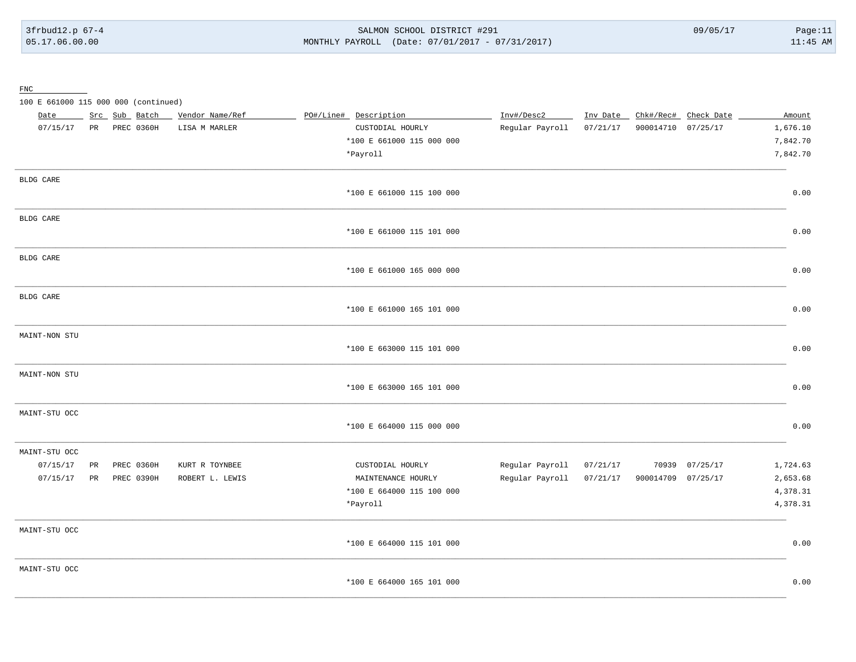SALMON SCHOOL DISTRICT #291 MONTHLY PAYROLL (Date: 07/01/2017 - 07/31/2017)

 ${\underline{\mathrm{FNC}}}$ 

100 E 661000 115 000 000 (continued)

| Date          |    | Src Sub Batch | Vendor Name/Ref | PO#/Line# Description     | Inv#/Desc2      | Inv Date | Chk#/Rec#          | Check Date     | Amount   |
|---------------|----|---------------|-----------------|---------------------------|-----------------|----------|--------------------|----------------|----------|
| 07/15/17      | PR | PREC 0360H    | LISA M MARLER   | CUSTODIAL HOURLY          | Regular Payroll | 07/21/17 | 900014710 07/25/17 |                | 1,676.10 |
|               |    |               |                 | *100 E 661000 115 000 000 |                 |          |                    |                | 7,842.70 |
|               |    |               |                 | *Payroll                  |                 |          |                    |                | 7,842.70 |
| BLDG CARE     |    |               |                 |                           |                 |          |                    |                |          |
|               |    |               |                 | *100 E 661000 115 100 000 |                 |          |                    |                | 0.00     |
| BLDG CARE     |    |               |                 |                           |                 |          |                    |                |          |
|               |    |               |                 | *100 E 661000 115 101 000 |                 |          |                    |                | 0.00     |
| BLDG CARE     |    |               |                 |                           |                 |          |                    |                |          |
|               |    |               |                 | *100 E 661000 165 000 000 |                 |          |                    |                | 0.00     |
| BLDG CARE     |    |               |                 |                           |                 |          |                    |                |          |
|               |    |               |                 | *100 E 661000 165 101 000 |                 |          |                    |                | 0.00     |
| MAINT-NON STU |    |               |                 |                           |                 |          |                    |                |          |
|               |    |               |                 | *100 E 663000 115 101 000 |                 |          |                    |                | 0.00     |
| MAINT-NON STU |    |               |                 |                           |                 |          |                    |                |          |
|               |    |               |                 | *100 E 663000 165 101 000 |                 |          |                    |                | 0.00     |
| MAINT-STU OCC |    |               |                 |                           |                 |          |                    |                |          |
|               |    |               |                 | *100 E 664000 115 000 000 |                 |          |                    |                | 0.00     |
| MAINT-STU OCC |    |               |                 |                           |                 |          |                    |                |          |
| 07/15/17      | PR | PREC 0360H    | KURT R TOYNBEE  | CUSTODIAL HOURLY          | Regular Payroll | 07/21/17 |                    | 70939 07/25/17 | 1,724.63 |
| 07/15/17      | PR | PREC 0390H    | ROBERT L. LEWIS | MAINTENANCE HOURLY        | Regular Payroll | 07/21/17 | 900014709 07/25/17 |                | 2,653.68 |
|               |    |               |                 | *100 E 664000 115 100 000 |                 |          |                    |                | 4,378.31 |
|               |    |               |                 | *Payroll                  |                 |          |                    |                | 4,378.31 |
| MAINT-STU OCC |    |               |                 |                           |                 |          |                    |                |          |
|               |    |               |                 | *100 E 664000 115 101 000 |                 |          |                    |                | 0.00     |
| MAINT-STU OCC |    |               |                 |                           |                 |          |                    |                |          |
|               |    |               |                 | *100 E 664000 165 101 000 |                 |          |                    |                | 0.00     |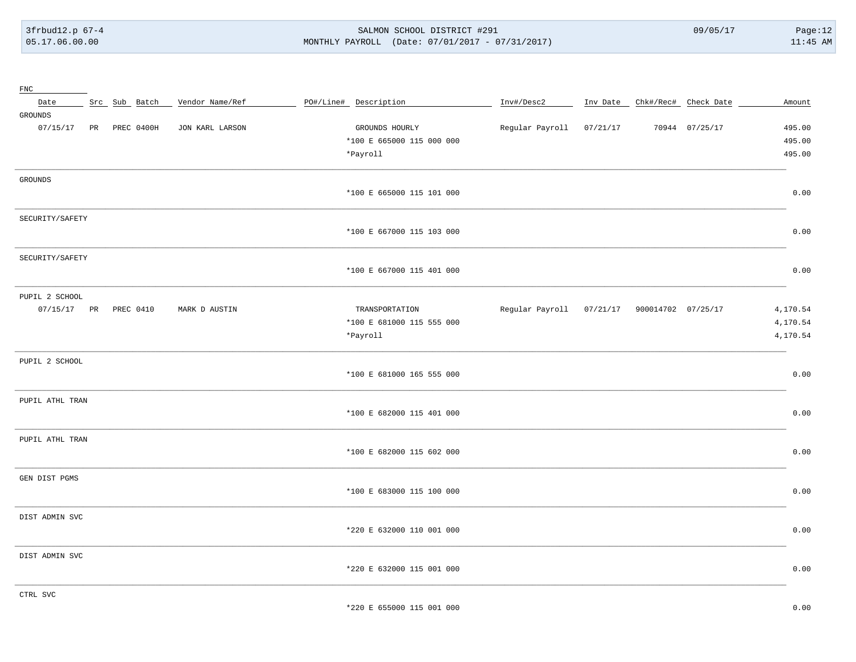3frbud12.p 67-4 05.17.06.00.00

#### SALMON SCHOOL DISTRICT #291 MONTHLY PAYROLL (Date: 07/01/2017 - 07/31/2017)

 $09/05/17$ 

| ${\rm FNC}$           |  |               |                 |                           |                          |          |                               |                |          |
|-----------------------|--|---------------|-----------------|---------------------------|--------------------------|----------|-------------------------------|----------------|----------|
| Date                  |  | Src Sub Batch | Vendor Name/Ref | PO#/Line# Description     | Inv#/Desc2               |          | Inv Date Chk#/Rec# Check Date |                | Amount   |
| GROUNDS               |  |               |                 |                           |                          |          |                               |                |          |
| 07/15/17              |  | PR PREC 0400H | JON KARL LARSON | GROUNDS HOURLY            | Regular Payroll          | 07/21/17 |                               | 70944 07/25/17 | 495.00   |
|                       |  |               |                 | *100 E 665000 115 000 000 |                          |          |                               |                | 495.00   |
|                       |  |               |                 | *Payroll                  |                          |          |                               |                | 495.00   |
| GROUNDS               |  |               |                 |                           |                          |          |                               |                |          |
|                       |  |               |                 | *100 E 665000 115 101 000 |                          |          |                               |                | 0.00     |
| SECURITY/SAFETY       |  |               |                 |                           |                          |          |                               |                |          |
|                       |  |               |                 | *100 E 667000 115 103 000 |                          |          |                               |                | 0.00     |
| SECURITY/SAFETY       |  |               |                 |                           |                          |          |                               |                |          |
|                       |  |               |                 | *100 E 667000 115 401 000 |                          |          |                               |                | 0.00     |
| PUPIL 2 SCHOOL        |  |               |                 |                           |                          |          |                               |                |          |
| 07/15/17 PR PREC 0410 |  |               | MARK D AUSTIN   | TRANSPORTATION            | Regular Payroll 07/21/17 |          | 900014702 07/25/17            |                | 4,170.54 |
|                       |  |               |                 | *100 E 681000 115 555 000 |                          |          |                               |                | 4,170.54 |
|                       |  |               |                 | *Payroll                  |                          |          |                               |                | 4,170.54 |
| PUPIL 2 SCHOOL        |  |               |                 |                           |                          |          |                               |                |          |
|                       |  |               |                 | *100 E 681000 165 555 000 |                          |          |                               |                | 0.00     |
| PUPIL ATHL TRAN       |  |               |                 |                           |                          |          |                               |                |          |
|                       |  |               |                 | *100 E 682000 115 401 000 |                          |          |                               |                | 0.00     |
| PUPIL ATHL TRAN       |  |               |                 |                           |                          |          |                               |                |          |
|                       |  |               |                 | *100 E 682000 115 602 000 |                          |          |                               |                | 0.00     |
| GEN DIST PGMS         |  |               |                 |                           |                          |          |                               |                |          |
|                       |  |               |                 | *100 E 683000 115 100 000 |                          |          |                               |                | 0.00     |
| DIST ADMIN SVC        |  |               |                 |                           |                          |          |                               |                |          |
|                       |  |               |                 | *220 E 632000 110 001 000 |                          |          |                               |                | 0.00     |
| DIST ADMIN SVC        |  |               |                 |                           |                          |          |                               |                |          |
|                       |  |               |                 | *220 E 632000 115 001 000 |                          |          |                               |                | 0.00     |
| CTRL SVC              |  |               |                 |                           |                          |          |                               |                |          |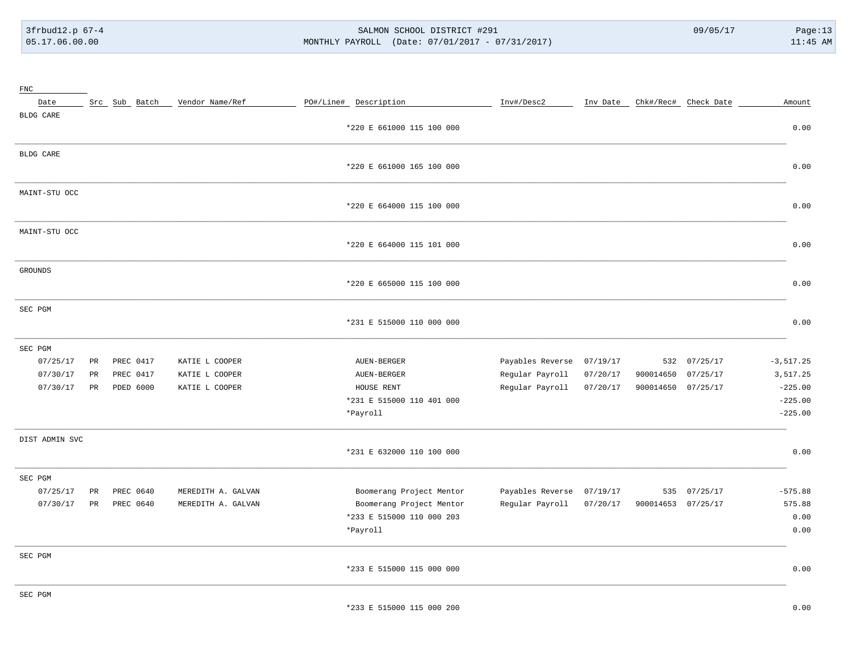# 3frbud12.p 67-4 SALMON SCHOOL DISTRICT #291 09/05/17 Page:13 [05.17.06.00.00](https://05.17.06.00.00) MONTHLY PAYROLL (Date: 07/01/2017 - 07/31/2017) 11:45 AM

| Vendor Name/Ref<br>PO#/Line# Description<br>Inv#/Desc2<br>Chk#/Rec# Check Date<br>Date<br>Src Sub Batch<br>Inv Date<br>BLDG CARE<br>*220 E 661000 115 100 000<br>BLDG CARE<br>*220 E 661000 165 100 000<br>MAINT-STU OCC<br>*220 E 664000 115 100 000 | Amount<br>0.00 |
|-------------------------------------------------------------------------------------------------------------------------------------------------------------------------------------------------------------------------------------------------------|----------------|
|                                                                                                                                                                                                                                                       |                |
|                                                                                                                                                                                                                                                       |                |
|                                                                                                                                                                                                                                                       |                |
|                                                                                                                                                                                                                                                       |                |
|                                                                                                                                                                                                                                                       | 0.00           |
|                                                                                                                                                                                                                                                       |                |
|                                                                                                                                                                                                                                                       | 0.00           |
| MAINT-STU OCC                                                                                                                                                                                                                                         |                |
| *220 E 664000 115 101 000                                                                                                                                                                                                                             | 0.00           |
| <b>GROUNDS</b>                                                                                                                                                                                                                                        |                |
| *220 E 665000 115 100 000                                                                                                                                                                                                                             | 0.00           |
| SEC PGM                                                                                                                                                                                                                                               |                |
| *231 E 515000 110 000 000                                                                                                                                                                                                                             | 0.00           |
| SEC PGM                                                                                                                                                                                                                                               |                |
| PREC 0417<br>Payables Reverse<br>07/25/17<br>07/25/17<br>PR<br>KATIE L COOPER<br>AUEN-BERGER<br>07/19/17<br>532                                                                                                                                       | $-3, 517.25$   |
| PREC 0417<br>Regular Payroll<br>07/25/17<br>07/30/17<br>PR<br>KATIE L COOPER<br>AUEN-BERGER<br>07/20/17<br>900014650                                                                                                                                  | 3,517.25       |
| Regular Payroll<br>07/30/17<br>PR<br>PDED 6000<br>KATIE L COOPER<br>HOUSE RENT<br>07/20/17<br>900014650<br>07/25/17                                                                                                                                   | $-225.00$      |
| *231 E 515000 110 401 000                                                                                                                                                                                                                             | $-225.00$      |
| *Payroll                                                                                                                                                                                                                                              | $-225.00$      |
| DIST ADMIN SVC                                                                                                                                                                                                                                        |                |
| *231 E 632000 110 100 000                                                                                                                                                                                                                             | 0.00           |
| SEC PGM                                                                                                                                                                                                                                               |                |
| Boomerang Project Mentor<br>07/25/17<br>PR<br>PREC 0640<br>MEREDITH A. GALVAN<br>Payables Reverse<br>07/19/17<br>07/25/17<br>535                                                                                                                      | $-575.88$      |
| 07/30/17<br>PR<br>PREC 0640<br>MEREDITH A. GALVAN<br>Boomerang Project Mentor<br>Regular Payroll<br>07/20/17<br>900014653 07/25/17                                                                                                                    | 575.88         |
| *233 E 515000 110 000 203                                                                                                                                                                                                                             | 0.00           |
| *Payroll                                                                                                                                                                                                                                              | 0.00           |
| SEC PGM                                                                                                                                                                                                                                               |                |
| *233 E 515000 115 000 000                                                                                                                                                                                                                             | 0.00           |
| SEC PGM                                                                                                                                                                                                                                               |                |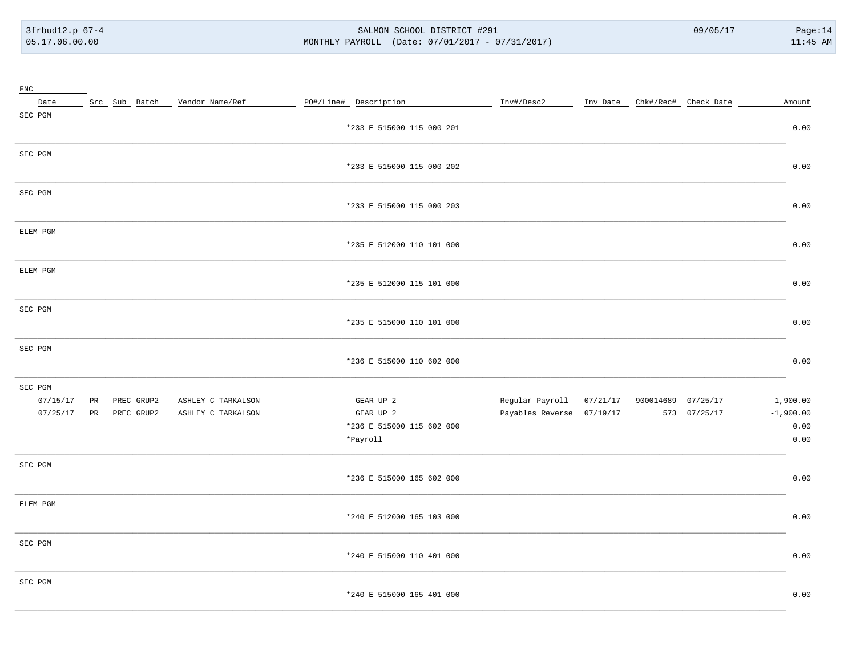3frbud12.p 67-4 05.17.06.00.00

#### SALMON SCHOOL DISTRICT #291 MONTHLY PAYROLL (Date: 07/01/2017 - 07/31/2017)

 $09/05/17$ 

| ${\rm FNC}$ |    |            |                                 |                           |                           |                    |                               |             |
|-------------|----|------------|---------------------------------|---------------------------|---------------------------|--------------------|-------------------------------|-------------|
| Date        |    |            | Src Sub Batch _ Vendor Name/Ref | PO#/Line# Description     | Inv#/Desc2                |                    | Inv Date Chk#/Rec# Check Date | Amount      |
| SEC PGM     |    |            |                                 |                           |                           |                    |                               |             |
|             |    |            |                                 | *233 E 515000 115 000 201 |                           |                    |                               | 0.00        |
| SEC PGM     |    |            |                                 |                           |                           |                    |                               |             |
|             |    |            |                                 | *233 E 515000 115 000 202 |                           |                    |                               | 0.00        |
| SEC PGM     |    |            |                                 |                           |                           |                    |                               |             |
|             |    |            |                                 | *233 E 515000 115 000 203 |                           |                    |                               | 0.00        |
|             |    |            |                                 |                           |                           |                    |                               |             |
| ELEM PGM    |    |            |                                 |                           |                           |                    |                               | 0.00        |
|             |    |            |                                 | *235 E 512000 110 101 000 |                           |                    |                               |             |
| ELEM PGM    |    |            |                                 |                           |                           |                    |                               |             |
|             |    |            |                                 | *235 E 512000 115 101 000 |                           |                    |                               | 0.00        |
| SEC PGM     |    |            |                                 |                           |                           |                    |                               |             |
|             |    |            |                                 | *235 E 515000 110 101 000 |                           |                    |                               | 0.00        |
|             |    |            |                                 |                           |                           |                    |                               |             |
| SEC PGM     |    |            |                                 |                           |                           |                    |                               |             |
|             |    |            |                                 | *236 E 515000 110 602 000 |                           |                    |                               | 0.00        |
| SEC PGM     |    |            |                                 |                           |                           |                    |                               |             |
| 07/15/17    | PR | PREC GRUP2 | ASHLEY C TARKALSON              | GEAR UP 2                 | Regular Payroll 07/21/17  | 900014689 07/25/17 |                               | 1,900.00    |
| 07/25/17    | PR | PREC GRUP2 | ASHLEY C TARKALSON              | GEAR UP 2                 | Payables Reverse 07/19/17 |                    | 573 07/25/17                  | $-1,900.00$ |
|             |    |            |                                 | *236 E 515000 115 602 000 |                           |                    |                               | 0.00        |
|             |    |            |                                 | *Payroll                  |                           |                    |                               | 0.00        |
| SEC PGM     |    |            |                                 |                           |                           |                    |                               |             |
|             |    |            |                                 | *236 E 515000 165 602 000 |                           |                    |                               | 0.00        |
|             |    |            |                                 |                           |                           |                    |                               |             |
| ELEM PGM    |    |            |                                 | *240 E 512000 165 103 000 |                           |                    |                               | 0.00        |
|             |    |            |                                 |                           |                           |                    |                               |             |
| SEC PGM     |    |            |                                 |                           |                           |                    |                               |             |
|             |    |            |                                 | *240 E 515000 110 401 000 |                           |                    |                               | 0.00        |
| SEC PGM     |    |            |                                 |                           |                           |                    |                               |             |
|             |    |            |                                 | *240 E 515000 165 401 000 |                           |                    |                               | 0.00        |
|             |    |            |                                 |                           |                           |                    |                               |             |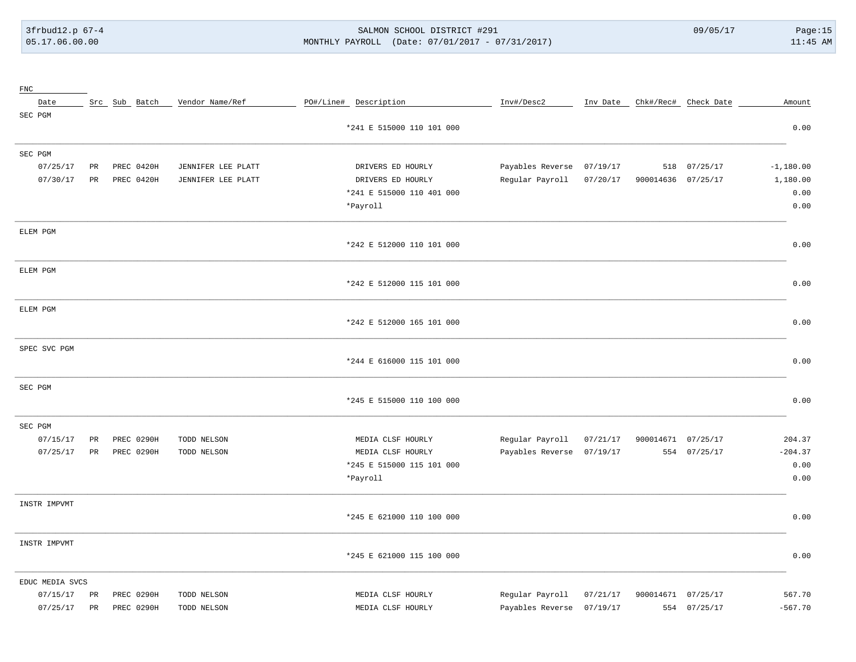## 3frbud12.p 67-4 SALMON SCHOOL DISTRICT #291 09/05/17 Page:15 [05.17.06.00.00](https://05.17.06.00.00) MONTHLY PAYROLL (Date: 07/01/2017 - 07/31/2017) 11:45 AM

| ${\tt FNC}$     |             |               |                    |                           |                  |          |                               |              |             |
|-----------------|-------------|---------------|--------------------|---------------------------|------------------|----------|-------------------------------|--------------|-------------|
| Date            |             | Src Sub Batch | Vendor Name/Ref    | PO#/Line# Description     | Inv#/Desc2       |          | Inv Date Chk#/Rec# Check Date |              | Amount      |
| SEC PGM         |             |               |                    |                           |                  |          |                               |              |             |
|                 |             |               |                    | *241 E 515000 110 101 000 |                  |          |                               |              | 0.00        |
| SEC PGM         |             |               |                    |                           |                  |          |                               |              |             |
| 07/25/17        | PR          | PREC 0420H    | JENNIFER LEE PLATT | DRIVERS ED HOURLY         | Payables Reverse | 07/19/17 | 518                           | 07/25/17     | $-1,180.00$ |
| 07/30/17        | $_{\rm PR}$ | PREC 0420H    | JENNIFER LEE PLATT | DRIVERS ED HOURLY         | Regular Payroll  | 07/20/17 | 900014636 07/25/17            |              | 1,180.00    |
|                 |             |               |                    | *241 E 515000 110 401 000 |                  |          |                               |              | 0.00        |
|                 |             |               |                    | *Payroll                  |                  |          |                               |              | 0.00        |
| ELEM PGM        |             |               |                    |                           |                  |          |                               |              |             |
|                 |             |               |                    | *242 E 512000 110 101 000 |                  |          |                               |              | 0.00        |
| ELEM PGM        |             |               |                    |                           |                  |          |                               |              |             |
|                 |             |               |                    | *242 E 512000 115 101 000 |                  |          |                               |              | 0.00        |
| ELEM PGM        |             |               |                    |                           |                  |          |                               |              |             |
|                 |             |               |                    | *242 E 512000 165 101 000 |                  |          |                               |              | 0.00        |
| SPEC SVC PGM    |             |               |                    |                           |                  |          |                               |              |             |
|                 |             |               |                    | *244 E 616000 115 101 000 |                  |          |                               |              | 0.00        |
| SEC PGM         |             |               |                    |                           |                  |          |                               |              |             |
|                 |             |               |                    | *245 E 515000 110 100 000 |                  |          |                               |              | 0.00        |
| SEC PGM         |             |               |                    |                           |                  |          |                               |              |             |
| 07/15/17        | PR          | PREC 0290H    | TODD NELSON        | MEDIA CLSF HOURLY         | Regular Payroll  | 07/21/17 | 900014671                     | 07/25/17     | 204.37      |
| 07/25/17        | $_{\rm PR}$ | PREC 0290H    | TODD NELSON        | MEDIA CLSF HOURLY         | Payables Reverse | 07/19/17 |                               | 554 07/25/17 | $-204.37$   |
|                 |             |               |                    | *245 E 515000 115 101 000 |                  |          |                               |              | 0.00        |
|                 |             |               |                    | *Payroll                  |                  |          |                               |              | 0.00        |
| INSTR IMPVMT    |             |               |                    |                           |                  |          |                               |              |             |
|                 |             |               |                    | *245 E 621000 110 100 000 |                  |          |                               |              | 0.00        |
| INSTR IMPVMT    |             |               |                    |                           |                  |          |                               |              |             |
|                 |             |               |                    | *245 E 621000 115 100 000 |                  |          |                               |              | 0.00        |
| EDUC MEDIA SVCS |             |               |                    |                           |                  |          |                               |              |             |
| 07/15/17        | PR          | PREC 0290H    | TODD NELSON        | MEDIA CLSF HOURLY         | Regular Payroll  | 07/21/17 | 900014671                     | 07/25/17     | 567.70      |
| 07/25/17        | $_{\rm PR}$ | PREC 0290H    | TODD NELSON        | MEDIA CLSF HOURLY         | Payables Reverse | 07/19/17 |                               | 554 07/25/17 | $-567.70$   |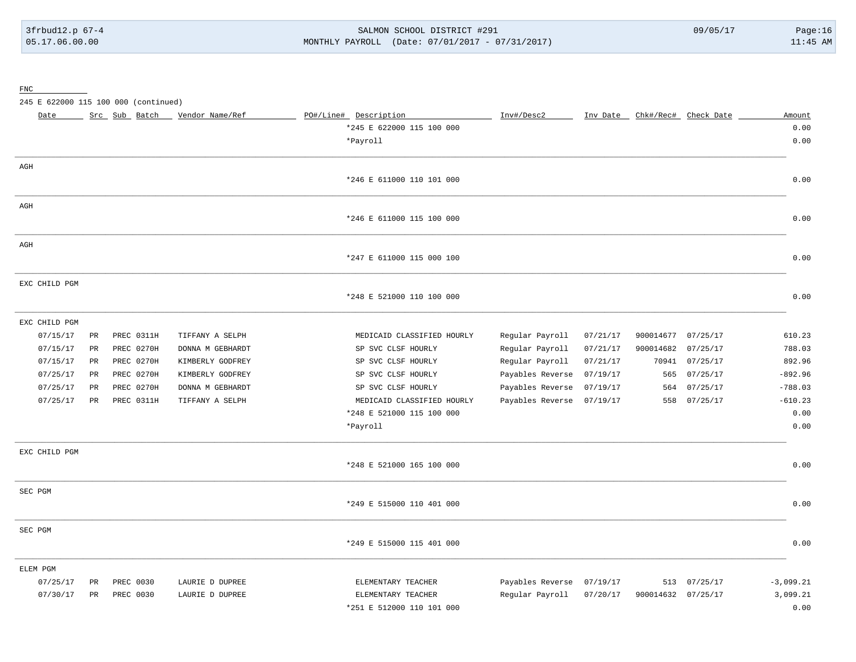3frbud12.p 67-4 SALMON SCHOOL DISTRICT #291 09/05/17 Page:16 [05.17.06.00.00](https://05.17.06.00.00) MONTHLY PAYROLL (Date: 07/01/2017 - 07/31/2017) 11:45 AM

FNC

245 E 622000 115 100 000 (continued)

| Date          |             | Src Sub Batch | Vendor Name/Ref  | PO#/Line# Description      | Inv#/Desc2       | Inv Date |           | Chk#/Rec# Check Date | Amount      |
|---------------|-------------|---------------|------------------|----------------------------|------------------|----------|-----------|----------------------|-------------|
|               |             |               |                  | *245 E 622000 115 100 000  |                  |          |           |                      | 0.00        |
|               |             |               |                  | *Payroll                   |                  |          |           |                      | 0.00        |
|               |             |               |                  |                            |                  |          |           |                      |             |
| $\rm{AGH}$    |             |               |                  |                            |                  |          |           |                      |             |
|               |             |               |                  | *246 E 611000 110 101 000  |                  |          |           |                      | 0.00        |
| AGH           |             |               |                  |                            |                  |          |           |                      |             |
|               |             |               |                  | *246 E 611000 115 100 000  |                  |          |           |                      | 0.00        |
| AGH           |             |               |                  |                            |                  |          |           |                      |             |
|               |             |               |                  | *247 E 611000 115 000 100  |                  |          |           |                      | 0.00        |
| EXC CHILD PGM |             |               |                  |                            |                  |          |           |                      |             |
|               |             |               |                  | *248 E 521000 110 100 000  |                  |          |           |                      | 0.00        |
| EXC CHILD PGM |             |               |                  |                            |                  |          |           |                      |             |
| 07/15/17      | PR          | PREC 0311H    | TIFFANY A SELPH  | MEDICAID CLASSIFIED HOURLY | Regular Payroll  | 07/21/17 | 900014677 | 07/25/17             | 610.23      |
| 07/15/17      | PR          | PREC 0270H    | DONNA M GEBHARDT | SP SVC CLSF HOURLY         | Regular Payroll  | 07/21/17 | 900014682 | 07/25/17             | 788.03      |
| 07/15/17      | PR          | PREC 0270H    | KIMBERLY GODFREY | SP SVC CLSF HOURLY         | Regular Payroll  | 07/21/17 | 70941     | 07/25/17             | 892.96      |
| 07/25/17      | PR          | PREC 0270H    | KIMBERLY GODFREY | SP SVC CLSF HOURLY         | Payables Reverse | 07/19/17 | 565       | 07/25/17             | $-892.96$   |
| 07/25/17      | PR          | PREC 0270H    | DONNA M GEBHARDT | SP SVC CLSF HOURLY         | Payables Reverse | 07/19/17 | 564       | 07/25/17             | $-788.03$   |
| 07/25/17      | PR          | PREC 0311H    | TIFFANY A SELPH  | MEDICAID CLASSIFIED HOURLY | Payables Reverse | 07/19/17 | 558       | 07/25/17             | $-610.23$   |
|               |             |               |                  | *248 E 521000 115 100 000  |                  |          |           |                      | 0.00        |
|               |             |               |                  | *Payroll                   |                  |          |           |                      | 0.00        |
| EXC CHILD PGM |             |               |                  |                            |                  |          |           |                      |             |
|               |             |               |                  | *248 E 521000 165 100 000  |                  |          |           |                      | 0.00        |
| SEC PGM       |             |               |                  |                            |                  |          |           |                      |             |
|               |             |               |                  | *249 E 515000 110 401 000  |                  |          |           |                      | 0.00        |
| SEC PGM       |             |               |                  |                            |                  |          |           |                      |             |
|               |             |               |                  | *249 E 515000 115 401 000  |                  |          |           |                      | 0.00        |
| ELEM PGM      |             |               |                  |                            |                  |          |           |                      |             |
| 07/25/17      | PR          | PREC 0030     | LAURIE D DUPREE  | ELEMENTARY TEACHER         | Payables Reverse | 07/19/17 | 513       | 07/25/17             | $-3,099.21$ |
| 07/30/17      | $_{\rm PR}$ | PREC 0030     | LAURIE D DUPREE  | ELEMENTARY TEACHER         | Regular Payroll  | 07/20/17 | 900014632 | 07/25/17             | 3,099.21    |
|               |             |               |                  | *251 E 512000 110 101 000  |                  |          |           |                      | 0.00        |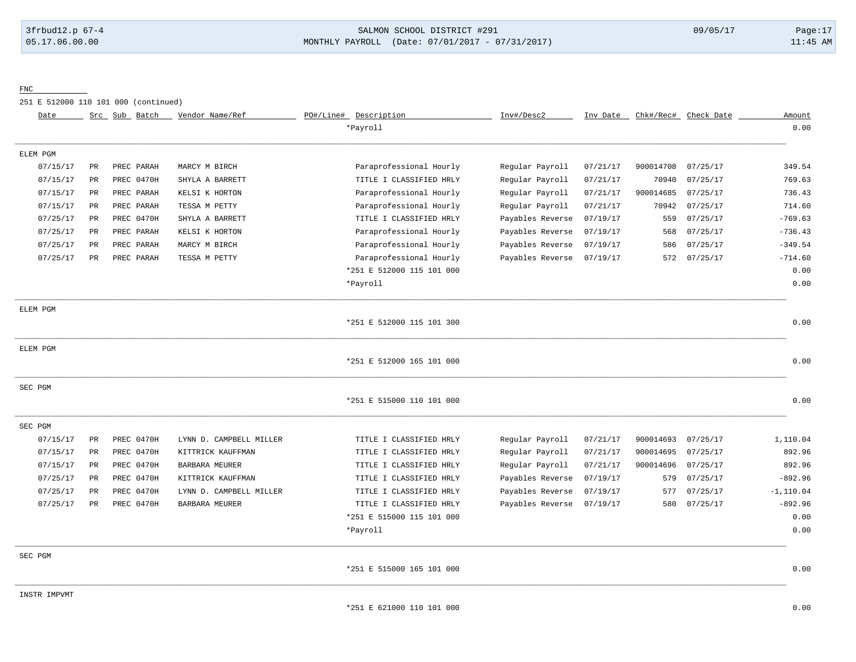## 3frbud12.p 67-4 SALMON SCHOOL DISTRICT #291 09/05/17 Page:17 [05.17.06.00.00](https://05.17.06.00.00) MONTHLY PAYROLL (Date: 07/01/2017 - 07/31/2017) 11:45 AM

FNC

251 E 512000 110 101 000 (continued)

| Date         |             | Src Sub Batch | Vendor Name/Ref         | PO#/Line# Description     | Inv#/Desc2       | Inv Date | Chk#/Rec# | Check Date | Amount       |
|--------------|-------------|---------------|-------------------------|---------------------------|------------------|----------|-----------|------------|--------------|
|              |             |               |                         | *Payroll                  |                  |          |           |            | 0.00         |
| ELEM PGM     |             |               |                         |                           |                  |          |           |            |              |
| 07/15/17     | PR          | PREC PARAH    | MARCY M BIRCH           | Paraprofessional Hourly   | Regular Payroll  | 07/21/17 | 900014708 | 07/25/17   | 349.54       |
| 07/15/17     | PR          | PREC 0470H    | SHYLA A BARRETT         | TITLE I CLASSIFIED HRLY   | Regular Payroll  | 07/21/17 | 70940     | 07/25/17   | 769.63       |
| 07/15/17     | PR          | PREC PARAH    | KELSI K HORTON          | Paraprofessional Hourly   | Regular Payroll  | 07/21/17 | 900014685 | 07/25/17   | 736.43       |
| 07/15/17     | $_{\rm PR}$ | PREC PARAH    | TESSA M PETTY           | Paraprofessional Hourly   | Regular Payroll  | 07/21/17 | 70942     | 07/25/17   | 714.60       |
| 07/25/17     | PR          | PREC 0470H    | SHYLA A BARRETT         | TITLE I CLASSIFIED HRLY   | Payables Reverse | 07/19/17 | 559       | 07/25/17   | $-769.63$    |
| 07/25/17     | PR          | PREC PARAH    | KELSI K HORTON          | Paraprofessional Hourly   | Payables Reverse | 07/19/17 | 568       | 07/25/17   | $-736.43$    |
| 07/25/17     | PR          | PREC PARAH    | MARCY M BIRCH           | Paraprofessional Hourly   | Payables Reverse | 07/19/17 | 586       | 07/25/17   | $-349.54$    |
| 07/25/17     | <b>PR</b>   | PREC PARAH    | TESSA M PETTY           | Paraprofessional Hourly   | Payables Reverse | 07/19/17 | 572       | 07/25/17   | $-714.60$    |
|              |             |               |                         | *251 E 512000 115 101 000 |                  |          |           |            | 0.00         |
|              |             |               |                         | *Payroll                  |                  |          |           |            | 0.00         |
| ELEM PGM     |             |               |                         | *251 E 512000 115 101 300 |                  |          |           |            | 0.00         |
| ELEM PGM     |             |               |                         | *251 E 512000 165 101 000 |                  |          |           |            | 0.00         |
|              |             |               |                         |                           |                  |          |           |            |              |
| SEC PGM      |             |               |                         | *251 E 515000 110 101 000 |                  |          |           |            | 0.00         |
| SEC PGM      |             |               |                         |                           |                  |          |           |            |              |
| 07/15/17     | PR          | PREC 0470H    | LYNN D. CAMPBELL MILLER | TITLE I CLASSIFIED HRLY   | Regular Payroll  | 07/21/17 | 900014693 | 07/25/17   | 1,110.04     |
| 07/15/17     | PR          | PREC 0470H    | KITTRICK KAUFFMAN       | TITLE I CLASSIFIED HRLY   | Regular Payroll  | 07/21/17 | 900014695 | 07/25/17   | 892.96       |
| 07/15/17     | PR          | PREC 0470H    | BARBARA MEURER          | TITLE I CLASSIFIED HRLY   | Regular Payroll  | 07/21/17 | 900014696 | 07/25/17   | 892.96       |
| 07/25/17     | PR          | PREC 0470H    | KITTRICK KAUFFMAN       | TITLE I CLASSIFIED HRLY   | Payables Reverse | 07/19/17 | 579       | 07/25/17   | $-892.96$    |
| 07/25/17     | PR          | PREC 0470H    | LYNN D. CAMPBELL MILLER | TITLE I CLASSIFIED HRLY   | Payables Reverse | 07/19/17 | 577       | 07/25/17   | $-1, 110.04$ |
| 07/25/17     | PR.         | PREC 0470H    | BARBARA MEURER          | TITLE I CLASSIFIED HRLY   | Payables Reverse | 07/19/17 | 580       | 07/25/17   | $-892.96$    |
|              |             |               |                         | *251 E 515000 115 101 000 |                  |          |           |            | 0.00         |
|              |             |               |                         | *Payroll                  |                  |          |           |            | 0.00         |
| SEC PGM      |             |               |                         |                           |                  |          |           |            |              |
|              |             |               |                         | *251 E 515000 165 101 000 |                  |          |           |            | 0.00         |
| INSTR IMPVMT |             |               |                         |                           |                  |          |           |            |              |
|              |             |               |                         | *251 E 621000 110 101 000 |                  |          |           |            | 0.00         |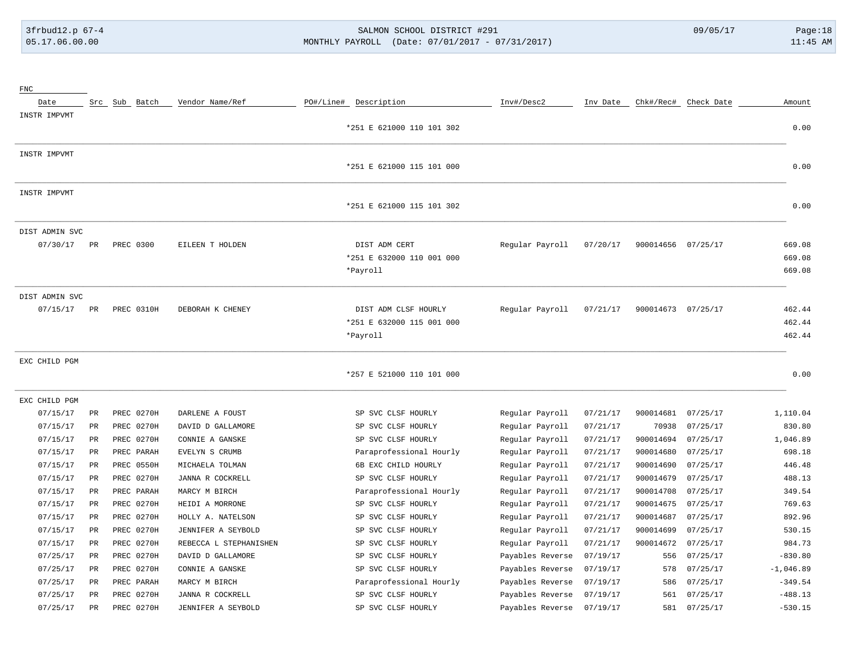# 3frbud12.p 67-4 SALMON SCHOOL DISTRICT #291 09/05/17 Page:18 [05.17.06.00.00](https://05.17.06.00.00) MONTHLY PAYROLL (Date: 07/01/2017 - 07/31/2017) 11:45 AM

| ${\rm FNC}$    |             |               |                        |                                            |                  |          |           |                      |                  |
|----------------|-------------|---------------|------------------------|--------------------------------------------|------------------|----------|-----------|----------------------|------------------|
| Date           |             | Src Sub Batch | Vendor Name/Ref        | PO#/Line# Description                      | Inv#/Desc2       | Inv Date |           | Chk#/Rec# Check Date | Amount           |
| INSTR IMPVMT   |             |               |                        | *251 E 621000 110 101 302                  |                  |          |           |                      | 0.00             |
| INSTR IMPVMT   |             |               |                        | *251 E 621000 115 101 000                  |                  |          |           |                      | 0.00             |
| INSTR IMPVMT   |             |               |                        |                                            |                  |          |           |                      |                  |
|                |             |               |                        | *251 E 621000 115 101 302                  |                  |          |           |                      | 0.00             |
| DIST ADMIN SVC |             |               |                        |                                            |                  |          |           |                      |                  |
| 07/30/17       | PR          | PREC 0300     | EILEEN T HOLDEN        | DIST ADM CERT<br>*251 E 632000 110 001 000 | Regular Payroll  | 07/20/17 | 900014656 | 07/25/17             | 669.08<br>669.08 |
|                |             |               |                        | *Payroll                                   |                  |          |           |                      | 669.08           |
| DIST ADMIN SVC |             |               |                        |                                            |                  |          |           |                      |                  |
| 07/15/17       | PR          | PREC 0310H    | DEBORAH K CHENEY       | DIST ADM CLSF HOURLY                       | Regular Payroll  | 07/21/17 | 900014673 | 07/25/17             | 462.44           |
|                |             |               |                        | *251 E 632000 115 001 000                  |                  |          |           |                      | 462.44           |
|                |             |               |                        | *Payroll                                   |                  |          |           |                      | 462.44           |
| EXC CHILD PGM  |             |               |                        |                                            |                  |          |           |                      |                  |
|                |             |               |                        | *257 E 521000 110 101 000                  |                  |          |           |                      | 0.00             |
| EXC CHILD PGM  |             |               |                        |                                            |                  |          |           |                      |                  |
| 07/15/17       | $_{\rm PR}$ | PREC 0270H    | DARLENE A FOUST        | SP SVC CLSF HOURLY                         | Regular Payroll  | 07/21/17 | 900014681 | 07/25/17             | 1,110.04         |
| 07/15/17       | $_{\rm PR}$ | PREC 0270H    | DAVID D GALLAMORE      | SP SVC CLSF HOURLY                         | Regular Payroll  | 07/21/17 | 70938     | 07/25/17             | 830.80           |
| 07/15/17       | PR          | PREC 0270H    | CONNIE A GANSKE        | SP SVC CLSF HOURLY                         | Regular Payroll  | 07/21/17 | 900014694 | 07/25/17             | 1,046.89         |
| 07/15/17       | PR          | PREC PARAH    | EVELYN S CRUMB         | Paraprofessional Hourly                    | Regular Payroll  | 07/21/17 | 900014680 | 07/25/17             | 698.18           |
| 07/15/17       | PR          | PREC 0550H    | MICHAELA TOLMAN        | 6B EXC CHILD HOURLY                        | Regular Payroll  | 07/21/17 | 900014690 | 07/25/17             | 446.48           |
| 07/15/17       | PR          | PREC 0270H    | JANNA R COCKRELL       | SP SVC CLSF HOURLY                         | Regular Payroll  | 07/21/17 | 900014679 | 07/25/17             | 488.13           |
| 07/15/17       | PR          | PREC PARAH    | MARCY M BIRCH          | Paraprofessional Hourly                    | Regular Payroll  | 07/21/17 | 900014708 | 07/25/17             | 349.54           |
| 07/15/17       | PR          | PREC 0270H    | HEIDI A MORRONE        | SP SVC CLSF HOURLY                         | Regular Payroll  | 07/21/17 | 900014675 | 07/25/17             | 769.63           |
| 07/15/17       | PR          | PREC 0270H    | HOLLY A. NATELSON      | SP SVC CLSF HOURLY                         | Regular Payroll  | 07/21/17 | 900014687 | 07/25/17             | 892.96           |
| 07/15/17       | PR          | PREC 0270H    | JENNIFER A SEYBOLD     | SP SVC CLSF HOURLY                         | Regular Payroll  | 07/21/17 | 900014699 | 07/25/17             | 530.15           |
| 07/15/17       | PR          | PREC 0270H    | REBECCA L STEPHANISHEN | SP SVC CLSF HOURLY                         | Regular Payroll  | 07/21/17 | 900014672 | 07/25/17             | 984.73           |
| 07/25/17       | PR          | PREC 0270H    | DAVID D GALLAMORE      | SP SVC CLSF HOURLY                         | Payables Reverse | 07/19/17 | 556       | 07/25/17             | $-830.80$        |
| 07/25/17       | PR          | PREC 0270H    | CONNIE A GANSKE        | SP SVC CLSF HOURLY                         | Payables Reverse | 07/19/17 | 578       | 07/25/17             | $-1,046.89$      |
| 07/25/17       | PR          | PREC PARAH    | MARCY M BIRCH          | Paraprofessional Hourly                    | Payables Reverse | 07/19/17 | 586       | 07/25/17             | $-349.54$        |
| 07/25/17       | PR          | PREC 0270H    | JANNA R COCKRELL       | SP SVC CLSF HOURLY                         | Payables Reverse | 07/19/17 | 561       | 07/25/17             | $-488.13$        |
| 07/25/17       | PR          | PREC 0270H    | JENNIFER A SEYBOLD     | SP SVC CLSF HOURLY                         | Payables Reverse | 07/19/17 | 581       | 07/25/17             | $-530.15$        |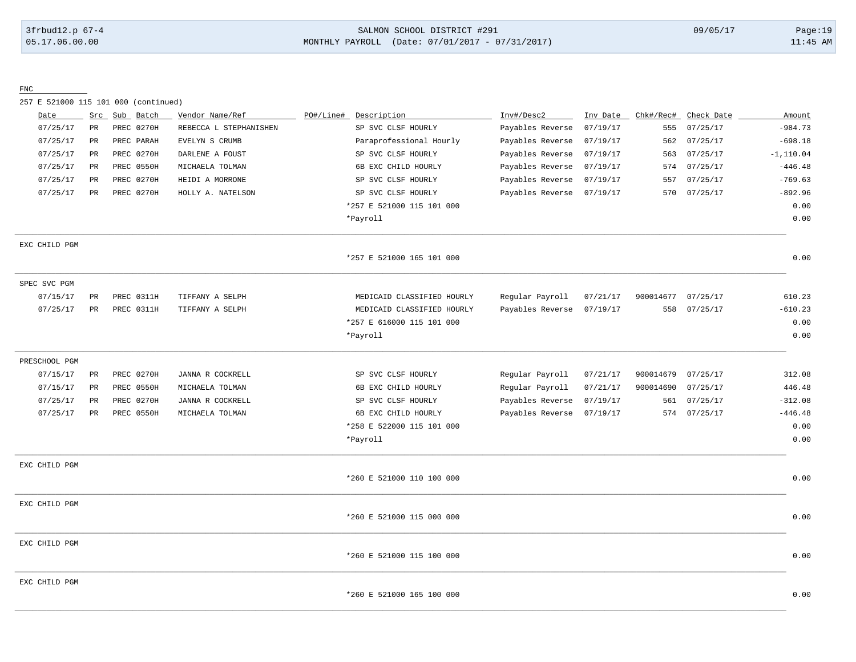### 3frbud12.p 67-4 SALMON SCHOOL DISTRICT #291 09/05/17 Page:19 [05.17.06.00.00](https://05.17.06.00.00) MONTHLY PAYROLL (Date: 07/01/2017 - 07/31/2017) 11:45 AM

FNC

257 E 521000 115 101 000 (continued)

| 07/25/17<br>555<br>562<br>07/25/17<br>07/25/17<br>563 | $-984.73$<br>$-698.18$                                                                             |
|-------------------------------------------------------|----------------------------------------------------------------------------------------------------|
|                                                       |                                                                                                    |
|                                                       |                                                                                                    |
|                                                       | $-1, 110.04$                                                                                       |
|                                                       | $-446.48$                                                                                          |
| 07/25/17                                              | $-769.63$                                                                                          |
| 07/25/17                                              | $-892.96$                                                                                          |
|                                                       | 0.00                                                                                               |
|                                                       | 0.00                                                                                               |
|                                                       |                                                                                                    |
|                                                       | 0.00                                                                                               |
|                                                       |                                                                                                    |
| 07/25/17                                              | 610.23                                                                                             |
| 07/25/17                                              | $-610.23$                                                                                          |
|                                                       | 0.00                                                                                               |
|                                                       | 0.00                                                                                               |
|                                                       |                                                                                                    |
| 07/25/17                                              | 312.08                                                                                             |
| 07/25/17                                              | 446.48                                                                                             |
| 07/25/17                                              | $-312.08$                                                                                          |
|                                                       | $-446.48$                                                                                          |
|                                                       | 0.00                                                                                               |
|                                                       | 0.00                                                                                               |
|                                                       |                                                                                                    |
|                                                       | 0.00                                                                                               |
|                                                       |                                                                                                    |
|                                                       | 0.00                                                                                               |
|                                                       |                                                                                                    |
|                                                       | 0.00                                                                                               |
|                                                       |                                                                                                    |
|                                                       | 0.00                                                                                               |
|                                                       | 07/25/17<br>574<br>557<br>570<br>900014677<br>558<br>900014679<br>900014690<br>561<br>574 07/25/17 |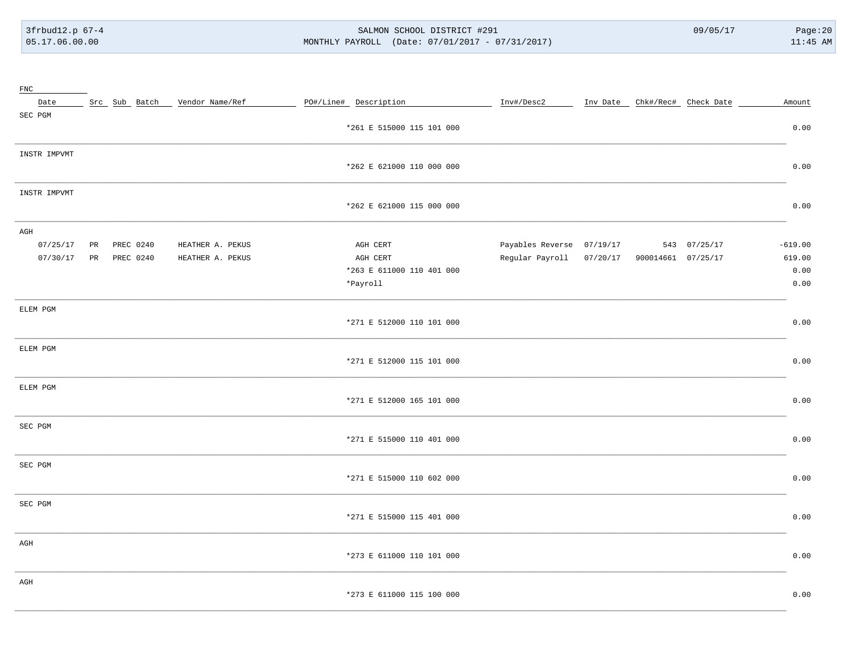3frbud12.p 67-4 05.17.06.00.00

#### SALMON SCHOOL DISTRICT #291 MONTHLY PAYROLL (Date: 07/01/2017 - 07/31/2017)

 $09/05/17$ 

| $_{\text{FNC}}$ |           |           |                               |                           |                                             |  |                               |           |
|-----------------|-----------|-----------|-------------------------------|---------------------------|---------------------------------------------|--|-------------------------------|-----------|
| Date            |           |           | Src Sub Batch Vendor Name/Ref | PO#/Line# Description     | Inv#/Desc2                                  |  | Inv Date Chk#/Rec# Check Date | Amount    |
| SEC PGM         |           |           |                               |                           |                                             |  |                               |           |
|                 |           |           |                               | *261 E 515000 115 101 000 |                                             |  |                               | 0.00      |
| INSTR IMPVMT    |           |           |                               |                           |                                             |  |                               |           |
|                 |           |           |                               | *262 E 621000 110 000 000 |                                             |  |                               | 0.00      |
| INSTR IMPVMT    |           |           |                               |                           |                                             |  |                               |           |
|                 |           |           |                               | *262 E 621000 115 000 000 |                                             |  |                               | 0.00      |
| AGH             |           |           |                               |                           |                                             |  |                               |           |
| 07/25/17        | <b>PR</b> | PREC 0240 | HEATHER A. PEKUS              | AGH CERT                  | Payables Reverse 07/19/17                   |  | 543 07/25/17                  | $-619.00$ |
| 07/30/17        | PR        | PREC 0240 | HEATHER A. PEKUS              | AGH CERT                  | Regular Payroll 07/20/17 900014661 07/25/17 |  |                               | 619.00    |
|                 |           |           |                               | *263 E 611000 110 401 000 |                                             |  |                               | 0.00      |
|                 |           |           |                               | *Payroll                  |                                             |  |                               | 0.00      |
| ELEM PGM        |           |           |                               |                           |                                             |  |                               |           |
|                 |           |           |                               | *271 E 512000 110 101 000 |                                             |  |                               | 0.00      |
| ELEM PGM        |           |           |                               |                           |                                             |  |                               |           |
|                 |           |           |                               | *271 E 512000 115 101 000 |                                             |  |                               | 0.00      |
| ELEM PGM        |           |           |                               |                           |                                             |  |                               |           |
|                 |           |           |                               | *271 E 512000 165 101 000 |                                             |  |                               | 0.00      |
| SEC PGM         |           |           |                               |                           |                                             |  |                               |           |
|                 |           |           |                               | *271 E 515000 110 401 000 |                                             |  |                               | 0.00      |
| SEC PGM         |           |           |                               |                           |                                             |  |                               |           |
|                 |           |           |                               | *271 E 515000 110 602 000 |                                             |  |                               | 0.00      |
| SEC PGM         |           |           |                               |                           |                                             |  |                               |           |
|                 |           |           |                               | *271 E 515000 115 401 000 |                                             |  |                               | 0.00      |
| AGH             |           |           |                               |                           |                                             |  |                               |           |
|                 |           |           |                               | *273 E 611000 110 101 000 |                                             |  |                               | 0.00      |
| AGH             |           |           |                               |                           |                                             |  |                               |           |
|                 |           |           |                               | *273 E 611000 115 100 000 |                                             |  |                               | 0.00      |
|                 |           |           |                               |                           |                                             |  |                               |           |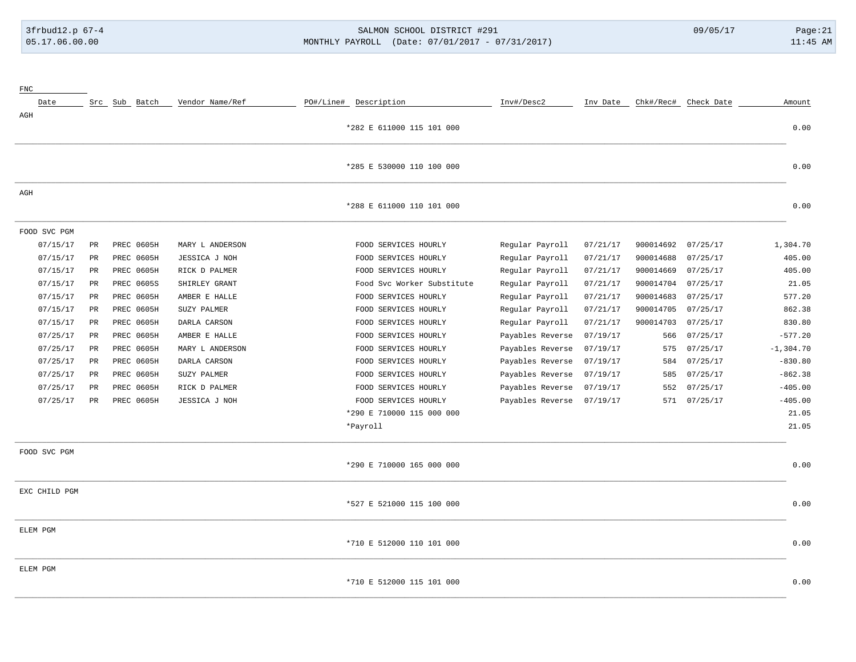## 3frbud12.p 67-4 SALMON SCHOOL DISTRICT #291 09/05/17 Page:21 [05.17.06.00.00](https://05.17.06.00.00) MONTHLY PAYROLL (Date: 07/01/2017 - 07/31/2017) 11:45 AM

| ${\rm FNC}$   |             |                   |                 |                            |                  |          |           |                      |              |
|---------------|-------------|-------------------|-----------------|----------------------------|------------------|----------|-----------|----------------------|--------------|
| Date          |             | Src Sub Batch     | Vendor Name/Ref | PO#/Line# Description      | Inv#/Desc2       | Inv Date |           | Chk#/Rec# Check Date | Amount       |
| AGH           |             |                   |                 |                            |                  |          |           |                      |              |
|               |             |                   |                 | *282 E 611000 115 101 000  |                  |          |           |                      | 0.00         |
|               |             |                   |                 |                            |                  |          |           |                      |              |
|               |             |                   |                 | *285 E 530000 110 100 000  |                  |          |           |                      | 0.00         |
| AGH           |             |                   |                 |                            |                  |          |           |                      |              |
|               |             |                   |                 | *288 E 611000 110 101 000  |                  |          |           |                      | 0.00         |
| FOOD SVC PGM  |             |                   |                 |                            |                  |          |           |                      |              |
| 07/15/17      | PR          | PREC 0605H        | MARY L ANDERSON | FOOD SERVICES HOURLY       | Regular Payroll  | 07/21/17 | 900014692 | 07/25/17             | 1,304.70     |
| 07/15/17      | PR          | PREC 0605H        | JESSICA J NOH   | FOOD SERVICES HOURLY       | Regular Payroll  | 07/21/17 | 900014688 | 07/25/17             | 405.00       |
| 07/15/17      | PR          | PREC 0605H        | RICK D PALMER   | FOOD SERVICES HOURLY       | Regular Payroll  | 07/21/17 | 900014669 | 07/25/17             | 405.00       |
| 07/15/17      | PR          | PREC 0605S        | SHIRLEY GRANT   | Food Svc Worker Substitute | Regular Payroll  | 07/21/17 | 900014704 | 07/25/17             | 21.05        |
| 07/15/17      | $_{\rm PR}$ | <b>PREC 0605H</b> | AMBER E HALLE   | FOOD SERVICES HOURLY       | Regular Payroll  | 07/21/17 | 900014683 | 07/25/17             | 577.20       |
| 07/15/17      | PR          | PREC 0605H        | SUZY PALMER     | FOOD SERVICES HOURLY       | Regular Payroll  | 07/21/17 | 900014705 | 07/25/17             | 862.38       |
| 07/15/17      | PR          | PREC 0605H        | DARLA CARSON    | FOOD SERVICES HOURLY       | Regular Payroll  | 07/21/17 | 900014703 | 07/25/17             | 830.80       |
| 07/25/17      | PR          | <b>PREC 0605H</b> | AMBER E HALLE   | FOOD SERVICES HOURLY       | Payables Reverse | 07/19/17 | 566       | 07/25/17             | $-577.20$    |
| 07/25/17      | PR          | PREC 0605H        | MARY L ANDERSON | FOOD SERVICES HOURLY       | Payables Reverse | 07/19/17 | 575       | 07/25/17             | $-1, 304.70$ |
| 07/25/17      | $_{\rm PR}$ | PREC 0605H        | DARLA CARSON    | FOOD SERVICES HOURLY       | Payables Reverse | 07/19/17 | 584       | 07/25/17             | $-830.80$    |
| 07/25/17      | PR          | PREC 0605H        | SUZY PALMER     | FOOD SERVICES HOURLY       | Payables Reverse | 07/19/17 | 585       | 07/25/17             | $-862.38$    |
| 07/25/17      | PR          | PREC 0605H        | RICK D PALMER   | FOOD SERVICES HOURLY       | Payables Reverse | 07/19/17 | 552       | 07/25/17             | $-405.00$    |
| 07/25/17      | $_{\rm PR}$ | PREC 0605H        | JESSICA J NOH   | FOOD SERVICES HOURLY       | Payables Reverse | 07/19/17 | 571       | 07/25/17             | $-405.00$    |
|               |             |                   |                 | *290 E 710000 115 000 000  |                  |          |           |                      | 21.05        |
|               |             |                   |                 | *Payroll                   |                  |          |           |                      | 21.05        |
| FOOD SVC PGM  |             |                   |                 |                            |                  |          |           |                      |              |
|               |             |                   |                 | *290 E 710000 165 000 000  |                  |          |           |                      | 0.00         |
| EXC CHILD PGM |             |                   |                 |                            |                  |          |           |                      |              |
|               |             |                   |                 | *527 E 521000 115 100 000  |                  |          |           |                      | 0.00         |
| ELEM PGM      |             |                   |                 |                            |                  |          |           |                      |              |
|               |             |                   |                 | *710 E 512000 110 101 000  |                  |          |           |                      | 0.00         |
| ELEM PGM      |             |                   |                 |                            |                  |          |           |                      |              |
|               |             |                   |                 | *710 E 512000 115 101 000  |                  |          |           |                      | 0.00         |